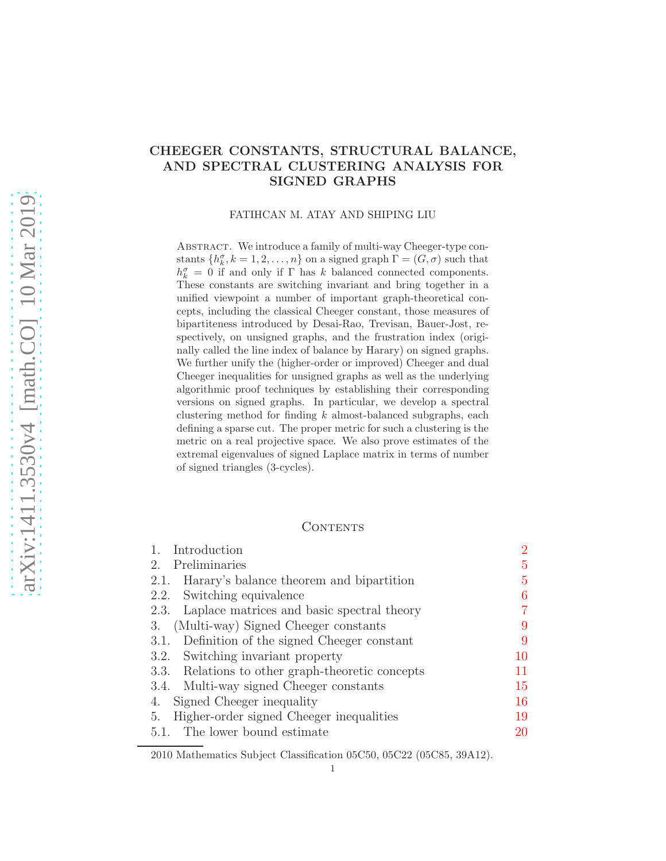# CHEEGER CONSTANTS, STRUCTURAL BALANCE, AND SPECTRAL CLUSTERING ANALYSIS FOR SIGNED GRAPHS

#### FATIHCAN M. ATAY AND SHIPING LIU

ABSTRACT. We introduce a family of multi-way Cheeger-type constants  $\{h_k^{\sigma}, k = 1, 2, ..., n\}$  on a signed graph  $\Gamma = (G, \sigma)$  such that  $h_k^{\sigma} = 0$  if and only if  $\Gamma$  has k balanced connected components. These constants are switching invariant and bring together in a unified viewpoint a number of important graph-theoretical concepts, including the classical Cheeger constant, those measures of bipartiteness introduced by Desai-Rao, Trevisan, Bauer-Jost, respectively, on unsigned graphs, and the frustration index (originally called the line index of balance by Harary) on signed graphs. We further unify the (higher-order or improved) Cheeger and dual Cheeger inequalities for unsigned graphs as well as the underlying algorithmic proof techniques by establishing their corresponding versions on signed graphs. In particular, we develop a spectral clustering method for finding  $k$  almost-balanced subgraphs, each defining a sparse cut. The proper metric for such a clustering is the metric on a real projective space. We also prove estimates of the extremal eigenvalues of signed Laplace matrix in terms of number of signed triangles (3-cycles).

## CONTENTS

| 1. Introduction                                  | $\overline{2}$ |
|--------------------------------------------------|----------------|
| 2. Preliminaries                                 | 5              |
| 2.1. Harary's balance theorem and bipartition    | 5              |
| 2.2. Switching equivalence                       | 6              |
| 2.3. Laplace matrices and basic spectral theory  |                |
| (Multi-way) Signed Cheeger constants<br>3.       | 9              |
| 3.1. Definition of the signed Cheeger constant   | 9              |
| 3.2. Switching invariant property                | 10             |
| 3.3. Relations to other graph-theoretic concepts | 11             |
| 3.4. Multi-way signed Cheeger constants          | 15             |
| Signed Cheeger inequality<br>4.                  | 16             |
| Higher-order signed Cheeger inequalities<br>5.   | 19             |
| 5.1. The lower bound estimate                    | 20             |
|                                                  |                |

<sup>2010</sup> Mathematics Subject Classification 05C50, 05C22 (05C85, 39A12).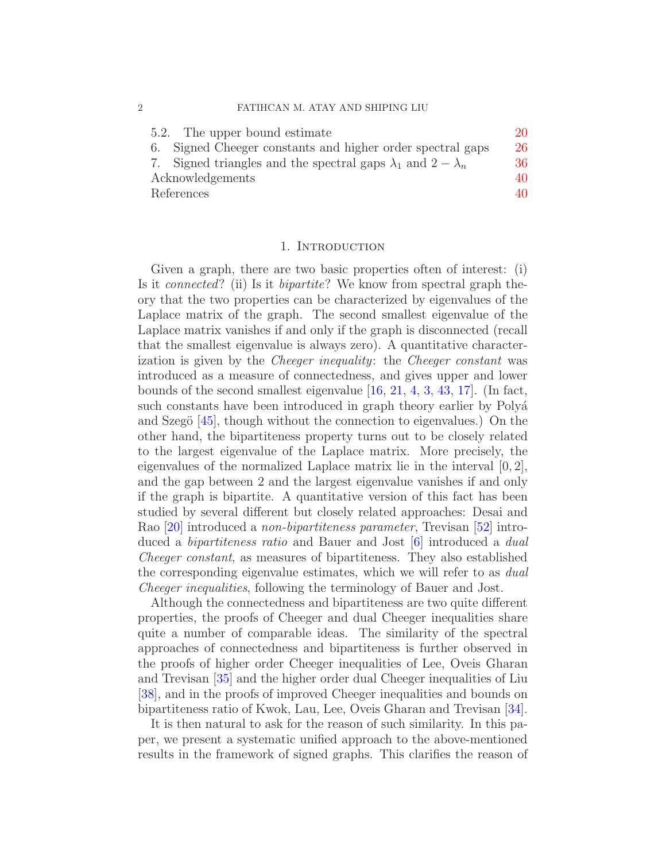| 5.2. The upper bound estimate                                             | 20 |
|---------------------------------------------------------------------------|----|
| 6. Signed Cheeger constants and higher order spectral gaps                | 26 |
| 7. Signed triangles and the spectral gaps $\lambda_1$ and $2 - \lambda_n$ | 36 |
| Acknowledgements                                                          | 40 |
| References                                                                | 40 |

#### 1. INTRODUCTION

<span id="page-1-0"></span>Given a graph, there are two basic properties often of interest: (i) Is it connected? (ii) Is it bipartite? We know from spectral graph theory that the two properties can be characterized by eigenvalues of the Laplace matrix of the graph. The second smallest eigenvalue of the Laplace matrix vanishes if and only if the graph is disconnected (recall that the smallest eigenvalue is always zero). A quantitative characterization is given by the Cheeger inequality: the Cheeger constant was introduced as a measure of connectedness, and gives upper and lower bounds of the second smallest eigenvalue [\[16,](#page-40-0) [21,](#page-40-1) [4,](#page-40-2) [3,](#page-40-3) [43,](#page-42-0) [17\]](#page-40-4). (In fact, such constants have been introduced in graph theory earlier by Polyá and Szegö  $[45]$ , though without the connection to eigenvalues.) On the other hand, the bipartiteness property turns out to be closely related to the largest eigenvalue of the Laplace matrix. More precisely, the eigenvalues of the normalized Laplace matrix lie in the interval [0, 2], and the gap between 2 and the largest eigenvalue vanishes if and only if the graph is bipartite. A quantitative version of this fact has been studied by several different but closely related approaches: Desai and Rao [\[20\]](#page-40-5) introduced a non-bipartiteness parameter, Trevisan [\[52\]](#page-42-2) introduced a bipartiteness ratio and Bauer and Jost [\[6\]](#page-40-6) introduced a dual Cheeger constant, as measures of bipartiteness. They also established the corresponding eigenvalue estimates, which we will refer to as dual Cheeger inequalities, following the terminology of Bauer and Jost.

Although the connectedness and bipartiteness are two quite different properties, the proofs of Cheeger and dual Cheeger inequalities share quite a number of comparable ideas. The similarity of the spectral approaches of connectedness and bipartiteness is further observed in the proofs of higher order Cheeger inequalities of Lee, Oveis Gharan and Trevisan [\[35\]](#page-41-0) and the higher order dual Cheeger inequalities of Liu [\[38\]](#page-41-1), and in the proofs of improved Cheeger inequalities and bounds on bipartiteness ratio of Kwok, Lau, Lee, Oveis Gharan and Trevisan [\[34\]](#page-41-2).

It is then natural to ask for the reason of such similarity. In this paper, we present a systematic unified approach to the above-mentioned results in the framework of signed graphs. This clarifies the reason of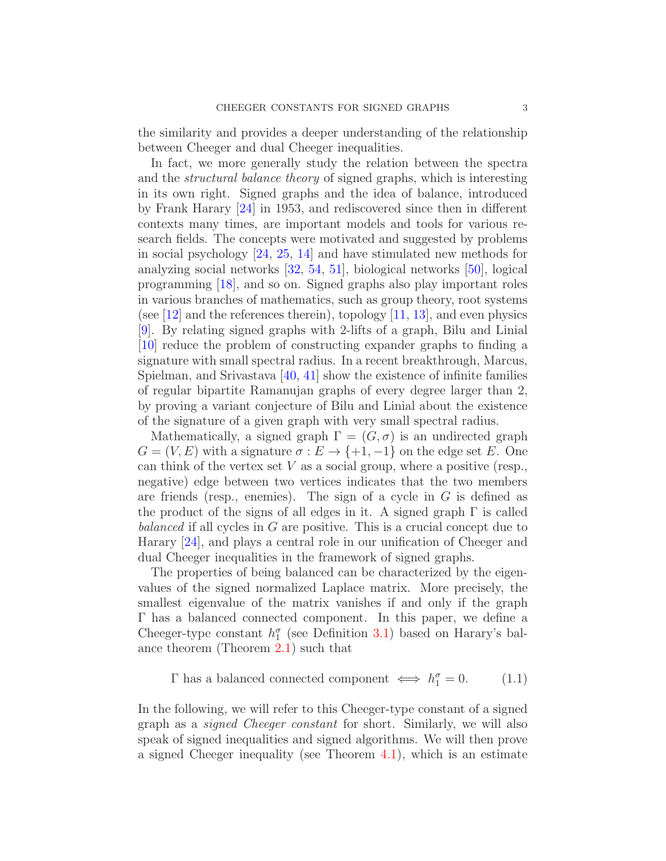the similarity and provides a deeper understanding of the relationship between Cheeger and dual Cheeger inequalities.

In fact, we more generally study the relation between the spectra and the structural balance theory of signed graphs, which is interesting in its own right. Signed graphs and the idea of balance, introduced by Frank Harary [\[24\]](#page-41-3) in 1953, and rediscovered since then in different contexts many times, are important models and tools for various research fields. The concepts were motivated and suggested by problems in social psychology [\[24,](#page-41-3) [25,](#page-41-4) [14\]](#page-40-7) and have stimulated new methods for analyzing social networks [\[32,](#page-41-5) [54,](#page-42-3) [51\]](#page-42-4), biological networks [\[50\]](#page-42-5), logical programming [\[18\]](#page-40-8), and so on. Signed graphs also play important roles in various branches of mathematics, such as group theory, root systems (see [\[12\]](#page-40-9) and the references therein), topology  $[11, 13]$  $[11, 13]$ , and even physics [\[9\]](#page-40-12). By relating signed graphs with 2-lifts of a graph, Bilu and Linial [\[10\]](#page-40-13) reduce the problem of constructing expander graphs to finding a signature with small spectral radius. In a recent breakthrough, Marcus, Spielman, and Srivastava [\[40,](#page-41-6) [41\]](#page-41-7) show the existence of infinite families of regular bipartite Ramanujan graphs of every degree larger than 2, by proving a variant conjecture of Bilu and Linial about the existence of the signature of a given graph with very small spectral radius.

Mathematically, a signed graph  $\Gamma = (G, \sigma)$  is an undirected graph  $G = (V, E)$  with a signature  $\sigma : E \to \{+1, -1\}$  on the edge set E. One can think of the vertex set  $V$  as a social group, where a positive (resp., negative) edge between two vertices indicates that the two members are friends (resp., enemies). The sign of a cycle in  $G$  is defined as the product of the signs of all edges in it. A signed graph  $\Gamma$  is called balanced if all cycles in G are positive. This is a crucial concept due to Harary [\[24\]](#page-41-3), and plays a central role in our unification of Cheeger and dual Cheeger inequalities in the framework of signed graphs.

The properties of being balanced can be characterized by the eigenvalues of the signed normalized Laplace matrix. More precisely, the smallest eigenvalue of the matrix vanishes if and only if the graph Γ has a balanced connected component. In this paper, we define a Cheeger-type constant  $h_1^{\sigma}$  (see Definition [3.1\)](#page-9-1) based on Harary's balance theorem (Theorem [2.1\)](#page-4-2) such that

<span id="page-2-0"></span>
$$
\Gamma \text{ has a balanced connected component} \iff h_1^{\sigma} = 0. \tag{1.1}
$$

In the following, we will refer to this Cheeger-type constant of a signed graph as a signed Cheeger constant for short. Similarly, we will also speak of signed inequalities and signed algorithms. We will then prove a signed Cheeger inequality (see Theorem [4.1\)](#page-15-1), which is an estimate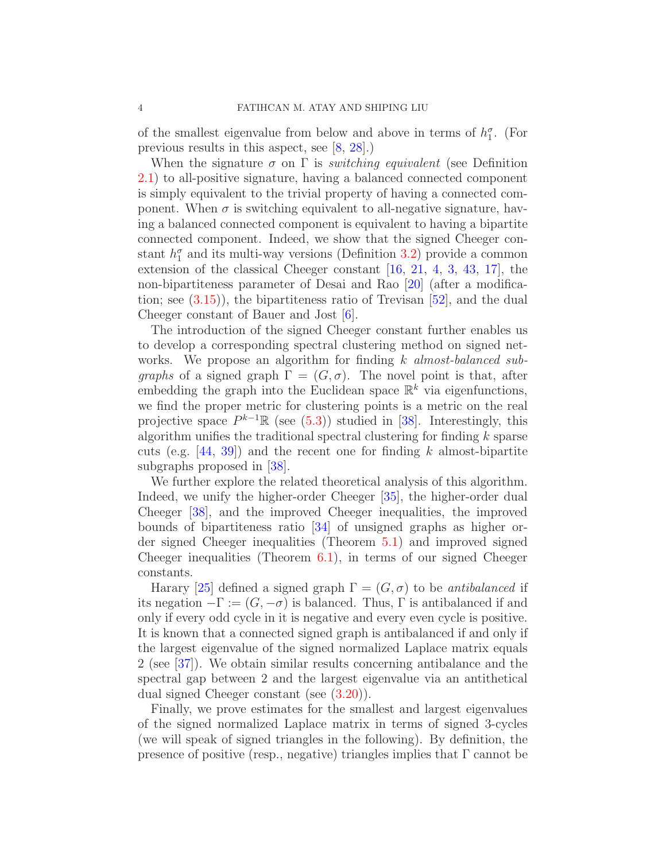of the smallest eigenvalue from below and above in terms of  $h_1^{\sigma}$ . (For previous results in this aspect, see [\[8,](#page-40-14) [28\]](#page-41-8).)

When the signature  $\sigma$  on  $\Gamma$  is *switching equivalent* (see Definition [2.1\)](#page-5-1) to all-positive signature, having a balanced connected component is simply equivalent to the trivial property of having a connected component. When  $\sigma$  is switching equivalent to all-negative signature, having a balanced connected component is equivalent to having a bipartite connected component. Indeed, we show that the signed Cheeger constant  $h_1^{\sigma}$  and its multi-way versions (Definition [3.2\)](#page-14-1) provide a common extension of the classical Cheeger constant [\[16,](#page-40-0) [21,](#page-40-1) [4,](#page-40-2) [3,](#page-40-3) [43,](#page-42-0) [17\]](#page-40-4), the non-bipartiteness parameter of Desai and Rao [\[20\]](#page-40-5) (after a modification; see  $(3.15)$ , the bipartiteness ratio of Trevisan  $[52]$ , and the dual Cheeger constant of Bauer and Jost [\[6\]](#page-40-6).

The introduction of the signed Cheeger constant further enables us to develop a corresponding spectral clustering method on signed networks. We propose an algorithm for finding k almost-balanced sub*graphs* of a signed graph  $\Gamma = (G, \sigma)$ . The novel point is that, after embedding the graph into the Euclidean space  $\mathbb{R}^k$  via eigenfunctions, we find the proper metric for clustering points is a metric on the real projective space  $P^{k-1}\mathbb{R}$  (see [\(5.3\)](#page-20-0)) studied in [\[38\]](#page-41-1). Interestingly, this algorithm unifies the traditional spectral clustering for finding  $k$  sparse cuts (e.g.  $[44, 39]$  $[44, 39]$ ) and the recent one for finding k almost-bipartite subgraphs proposed in [\[38\]](#page-41-1).

We further explore the related theoretical analysis of this algorithm. Indeed, we unify the higher-order Cheeger [\[35\]](#page-41-0), the higher-order dual Cheeger [\[38\]](#page-41-1), and the improved Cheeger inequalities, the improved bounds of bipartiteness ratio [\[34\]](#page-41-2) of unsigned graphs as higher order signed Cheeger inequalities (Theorem [5.1\)](#page-19-2) and improved signed Cheeger inequalities (Theorem [6.1\)](#page-25-1), in terms of our signed Cheeger constants.

Harary [\[25\]](#page-41-4) defined a signed graph  $\Gamma = (G, \sigma)$  to be antibalanced if its negation  $-\Gamma := (G, -\sigma)$  is balanced. Thus,  $\Gamma$  is antibalanced if and only if every odd cycle in it is negative and every even cycle is positive. It is known that a connected signed graph is antibalanced if and only if the largest eigenvalue of the signed normalized Laplace matrix equals 2 (see [\[37\]](#page-41-10)). We obtain similar results concerning antibalance and the spectral gap between 2 and the largest eigenvalue via an antithetical dual signed Cheeger constant (see [\(3.20\)](#page-15-2)).

Finally, we prove estimates for the smallest and largest eigenvalues of the signed normalized Laplace matrix in terms of signed 3-cycles (we will speak of signed triangles in the following). By definition, the presence of positive (resp., negative) triangles implies that  $\Gamma$  cannot be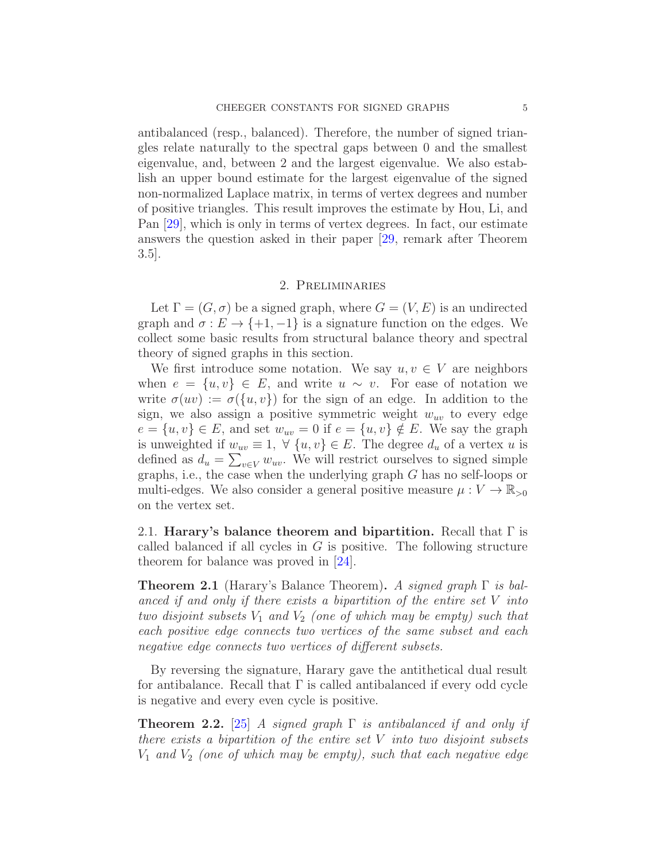antibalanced (resp., balanced). Therefore, the number of signed triangles relate naturally to the spectral gaps between 0 and the smallest eigenvalue, and, between 2 and the largest eigenvalue. We also establish an upper bound estimate for the largest eigenvalue of the signed non-normalized Laplace matrix, in terms of vertex degrees and number of positive triangles. This result improves the estimate by Hou, Li, and Pan [\[29\]](#page-41-11), which is only in terms of vertex degrees. In fact, our estimate answers the question asked in their paper [\[29,](#page-41-11) remark after Theorem 3.5].

### 2. Preliminaries

<span id="page-4-0"></span>Let  $\Gamma = (G, \sigma)$  be a signed graph, where  $G = (V, E)$  is an undirected graph and  $\sigma : E \to \{+1, -1\}$  is a signature function on the edges. We collect some basic results from structural balance theory and spectral theory of signed graphs in this section.

We first introduce some notation. We say  $u, v \in V$  are neighbors when  $e = \{u, v\} \in E$ , and write  $u \sim v$ . For ease of notation we write  $\sigma(uv) := \sigma({u, v})$  for the sign of an edge. In addition to the sign, we also assign a positive symmetric weight  $w_{uv}$  to every edge  $e = \{u, v\} \in E$ , and set  $w_{uv} = 0$  if  $e = \{u, v\} \notin E$ . We say the graph is unweighted if  $w_{uv} \equiv 1$ ,  $\forall \{u, v\} \in E$ . The degree  $d_u$  of a vertex u is defined as  $d_u = \sum_{v \in V} w_{uv}$ . We will restrict ourselves to signed simple graphs, i.e., the case when the underlying graph G has no self-loops or multi-edges. We also consider a general positive measure  $\mu : V \to \mathbb{R}_{>0}$ on the vertex set.

<span id="page-4-1"></span>2.1. Harary's balance theorem and bipartition. Recall that  $\Gamma$  is called balanced if all cycles in  $G$  is positive. The following structure theorem for balance was proved in [\[24\]](#page-41-3).

<span id="page-4-2"></span>**Theorem 2.1** (Harary's Balance Theorem). A signed graph  $\Gamma$  is balanced if and only if there exists a bipartition of the entire set V into two disjoint subsets  $V_1$  and  $V_2$  (one of which may be empty) such that each positive edge connects two vertices of the same subset and each negative edge connects two vertices of different subsets.

By reversing the signature, Harary gave the antithetical dual result for antibalance. Recall that  $\Gamma$  is called antibalanced if every odd cycle is negative and every even cycle is positive.

**Theorem 2.2.** [\[25\]](#page-41-4) A signed graph  $\Gamma$  is antibalanced if and only if there exists a bipartition of the entire set  $V$  into two disjoint subsets  $V_1$  and  $V_2$  (one of which may be empty), such that each negative edge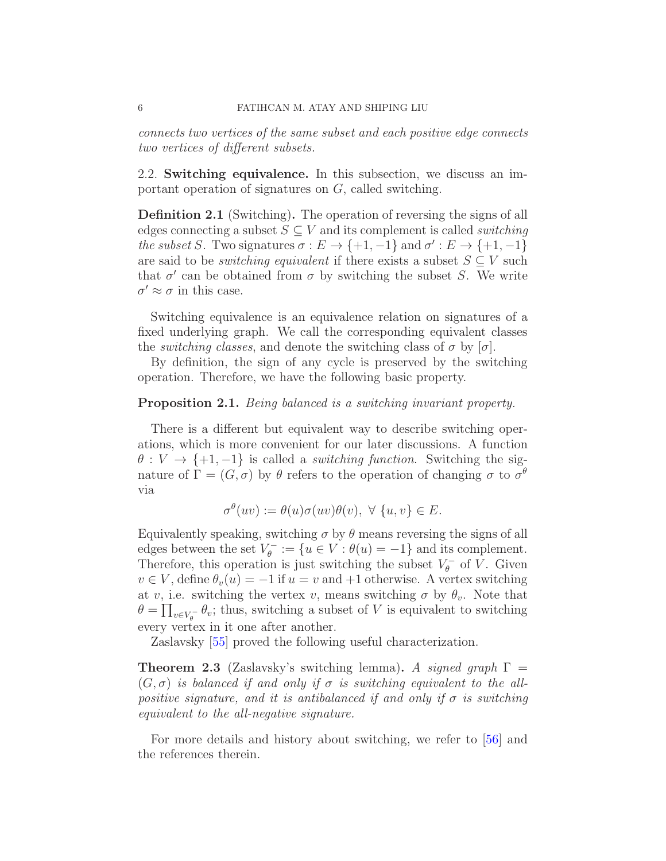connects two vertices of the same subset and each positive edge connects two vertices of different subsets.

<span id="page-5-0"></span>2.2. Switching equivalence. In this subsection, we discuss an important operation of signatures on G, called switching.

<span id="page-5-1"></span>Definition 2.1 (Switching). The operation of reversing the signs of all edges connecting a subset  $S \subseteq V$  and its complement is called *switching* the subset S. Two signatures  $\sigma : E \to \{+1, -1\}$  and  $\sigma' : E \to \{+1, -1\}$ are said to be *switching equivalent* if there exists a subset  $S \subseteq V$  such that  $\sigma'$  can be obtained from  $\sigma$  by switching the subset S. We write  $\sigma' \approx \sigma$  in this case.

Switching equivalence is an equivalence relation on signatures of a fixed underlying graph. We call the corresponding equivalent classes the *switching classes*, and denote the switching class of  $\sigma$  by  $[\sigma]$ .

By definition, the sign of any cycle is preserved by the switching operation. Therefore, we have the following basic property.

### **Proposition 2.1.** Being balanced is a switching invariant property.

There is a different but equivalent way to describe switching operations, which is more convenient for our later discussions. A function  $\theta: V \to \{+1, -1\}$  is called a *switching function*. Switching the signature of  $\Gamma = (G, \sigma)$  by  $\theta$  refers to the operation of changing  $\sigma$  to  $\sigma^{\theta}$ via

$$
\sigma^{\theta}(uv) := \theta(u)\sigma(uv)\theta(v), \ \forall \ \{u, v\} \in E.
$$

Equivalently speaking, switching  $\sigma$  by  $\theta$  means reversing the signs of all edges between the set  $V_{\theta}^{-}$  $\mathcal{V}_{\theta}^{-} := \{ u \in V : \theta(u) = -1 \}$  and its complement. Therefore, this operation is just switching the subset  $V_{\theta}^ \int_{\theta}^{\tau-}$  of V. Given  $v \in V$ , define  $\theta_v(u) = -1$  if  $u = v$  and  $+1$  otherwise. A vertex switching at v, i.e. switching the vertex v, means switching  $\sigma$  by  $\theta_v$ . Note that  $\theta = \prod_{v \in V_{\theta}} \theta_v$ ; thus, switching a subset of V is equivalent to switching every vertex in it one after another.

Zaslavsky [\[55\]](#page-42-7) proved the following useful characterization.

**Theorem 2.3** (Zaslavsky's switching lemma). A signed graph  $\Gamma$  =  $(G, \sigma)$  is balanced if and only if  $\sigma$  is switching equivalent to the allpositive signature, and it is antibalanced if and only if  $\sigma$  is switching equivalent to the all-negative signature.

For more details and history about switching, we refer to  $|56|$  and the references therein.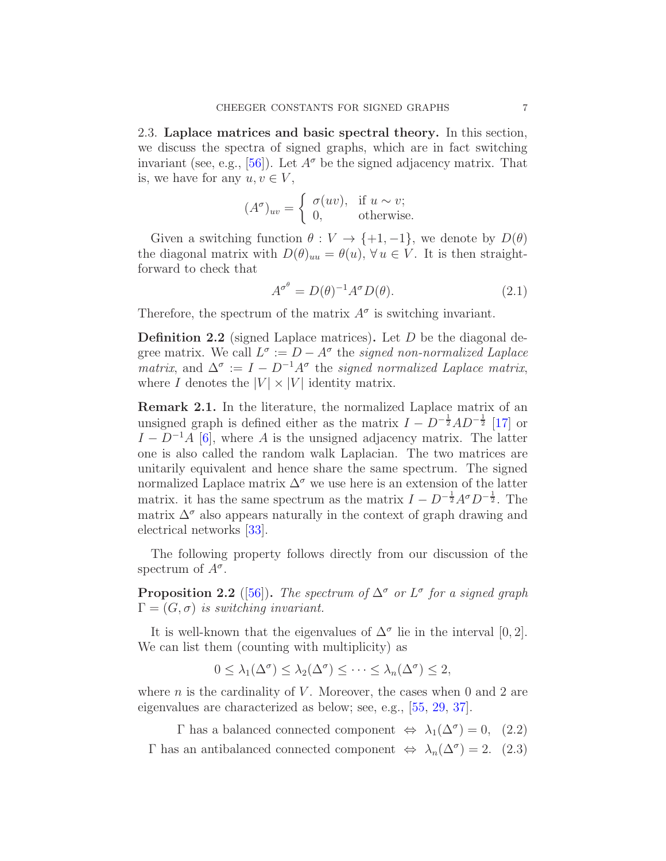<span id="page-6-0"></span>2.3. Laplace matrices and basic spectral theory. In this section, we discuss the spectra of signed graphs, which are in fact switching invariant (see, e.g., [\[56\]](#page-42-8)). Let  $A^{\sigma}$  be the signed adjacency matrix. That is, we have for any  $u, v \in V$ ,

$$
(A^{\sigma})_{uv} = \begin{cases} \sigma(uv), & \text{if } u \sim v; \\ 0, & \text{otherwise.} \end{cases}
$$

Given a switching function  $\theta : V \to \{+1, -1\}$ , we denote by  $D(\theta)$ the diagonal matrix with  $D(\theta)_{uu} = \theta(u)$ ,  $\forall u \in V$ . It is then straightforward to check that

$$
A^{\sigma^{\theta}} = D(\theta)^{-1} A^{\sigma} D(\theta). \tag{2.1}
$$

Therefore, the spectrum of the matrix  $A^{\sigma}$  is switching invariant.

**Definition 2.2** (signed Laplace matrices). Let  $D$  be the diagonal degree matrix. We call  $L^{\sigma} := D - A^{\sigma}$  the *signed non-normalized Laplace* matrix, and  $\Delta^{\sigma} := I - D^{-1}A^{\sigma}$  the signed normalized Laplace matrix, where I denotes the  $|V| \times |V|$  identity matrix.

Remark 2.1. In the literature, the normalized Laplace matrix of an unsigned graph is defined either as the matrix  $I - D^{-\frac{1}{2}}AD^{-\frac{1}{2}}$  [\[17\]](#page-40-4) or  $I - D^{-1}A$  [\[6\]](#page-40-6), where A is the unsigned adjacency matrix. The latter one is also called the random walk Laplacian. The two matrices are unitarily equivalent and hence share the same spectrum. The signed normalized Laplace matrix  $\Delta^{\sigma}$  we use here is an extension of the latter matrix. it has the same spectrum as the matrix  $I - D^{-\frac{1}{2}}A^{\sigma}D^{-\frac{1}{2}}$ . The matrix  $\Delta^{\sigma}$  also appears naturally in the context of graph drawing and electrical networks [\[33\]](#page-41-12).

The following property follows directly from our discussion of the spectrum of  $A^{\sigma}$ .

**Proposition 2.2** ([\[56\]](#page-42-8)). The spectrum of  $\Delta^{\sigma}$  or  $L^{\sigma}$  for a signed graph  $\Gamma = (G, \sigma)$  is switching invariant.

It is well-known that the eigenvalues of  $\Delta^{\sigma}$  lie in the interval [0, 2]. We can list them (counting with multiplicity) as

$$
0 \leq \lambda_1(\Delta^{\sigma}) \leq \lambda_2(\Delta^{\sigma}) \leq \cdots \leq \lambda_n(\Delta^{\sigma}) \leq 2,
$$

where *n* is the cardinality of *V*. Moreover, the cases when 0 and 2 are eigenvalues are characterized as below; see, e.g., [\[55,](#page-42-7) [29,](#page-41-11) [37\]](#page-41-10).

 $\Gamma$  has a balanced connected component  $\Leftrightarrow \lambda_1(\Delta^{\sigma}) = 0$ , (2.2)  $\Gamma$  has an antibalanced connected component  $\Leftrightarrow \lambda_n(\Delta^{\sigma}) = 2.$  (2.3)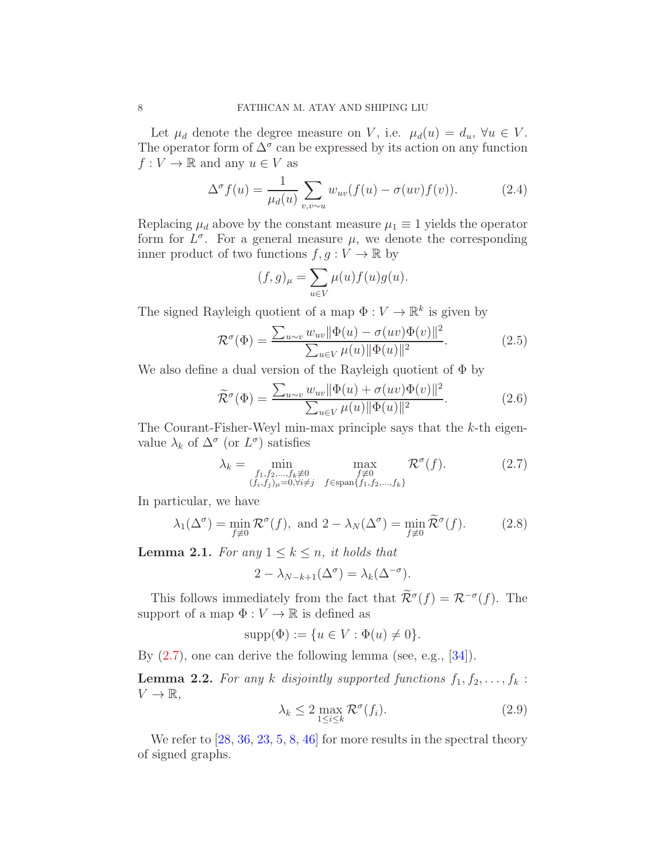Let  $\mu_d$  denote the degree measure on V, i.e.  $\mu_d(u) = d_u$ ,  $\forall u \in V$ . The operator form of  $\Delta^{\sigma}$  can be expressed by its action on any function  $f: V \to \mathbb{R}$  and any  $u \in V$  as

$$
\Delta^{\sigma} f(u) = \frac{1}{\mu_d(u)} \sum_{v,v \sim u} w_{uv}(f(u) - \sigma(uv)f(v)). \tag{2.4}
$$

Replacing  $\mu_d$  above by the constant measure  $\mu_1 \equiv 1$  yields the operator form for  $L^{\sigma}$ . For a general measure  $\mu$ , we denote the corresponding inner product of two functions  $f, g: V \to \mathbb{R}$  by

$$
(f,g)_{\mu} = \sum_{u \in V} \mu(u) f(u) g(u).
$$

The signed Rayleigh quotient of a map  $\Phi: V \to \mathbb{R}^k$  is given by

$$
\mathcal{R}^{\sigma}(\Phi) = \frac{\sum_{u \sim v} w_{uv} ||\Phi(u) - \sigma(uv)\Phi(v)||^2}{\sum_{u \in V} \mu(u) ||\Phi(u)||^2}.
$$
 (2.5)

We also define a dual version of the Rayleigh quotient of  $\Phi$  by

$$
\widetilde{\mathcal{R}}^{\sigma}(\Phi) = \frac{\sum_{u \sim v} w_{uv} \|\Phi(u) + \sigma(uv)\Phi(v)\|^2}{\sum_{u \in V} \mu(u) \|\Phi(u)\|^2}.
$$
\n(2.6)

The Courant-Fisher-Weyl min-max principle says that the k-th eigenvalue  $\lambda_k$  of  $\Delta^{\sigma}$  (or  $L^{\sigma}$ ) satisfies

<span id="page-7-0"></span>
$$
\lambda_k = \min_{\substack{f_1, f_2, \dots, f_k \neq 0 \\ (f_i, f_j)_{\mu} = 0, \forall i \neq j}} \max_{\substack{f \neq 0 \\ f \in \text{span}\{f_1, f_2, \dots, f_k\}}} \mathcal{R}^{\sigma}(f). \tag{2.7}
$$

In particular, we have

<span id="page-7-1"></span>
$$
\lambda_1(\Delta^{\sigma}) = \min_{f \neq 0} \mathcal{R}^{\sigma}(f), \text{ and } 2 - \lambda_N(\Delta^{\sigma}) = \min_{f \neq 0} \widetilde{\mathcal{R}}^{\sigma}(f). \tag{2.8}
$$

<span id="page-7-3"></span>**Lemma 2.1.** For any  $1 \leq k \leq n$ , it holds that

$$
2 - \lambda_{N-k+1}(\Delta^{\sigma}) = \lambda_k(\Delta^{-\sigma}).
$$

This follows immediately from the fact that  $\mathcal{R}^{\sigma}(f) = \mathcal{R}^{-\sigma}(f)$ . The support of a map  $\Phi: V \to \mathbb{R}$  is defined as

$$
supp(\Phi) := \{u \in V : \Phi(u) \neq 0\}.
$$

By  $(2.7)$ , one can derive the following lemma (see, e.g., [\[34\]](#page-41-2)).

<span id="page-7-2"></span>**Lemma 2.2.** For any k disjointly supported functions  $f_1, f_2, \ldots, f_k$ :  $V \to \mathbb{R},$ 

$$
\lambda_k \le 2 \max_{1 \le i \le k} \mathcal{R}^\sigma(f_i). \tag{2.9}
$$

We refer to  $[28, 36, 23, 5, 8, 46]$  $[28, 36, 23, 5, 8, 46]$  $[28, 36, 23, 5, 8, 46]$  $[28, 36, 23, 5, 8, 46]$  $[28, 36, 23, 5, 8, 46]$  $[28, 36, 23, 5, 8, 46]$  $[28, 36, 23, 5, 8, 46]$  $[28, 36, 23, 5, 8, 46]$  $[28, 36, 23, 5, 8, 46]$  $[28, 36, 23, 5, 8, 46]$  for more results in the spectral theory of signed graphs.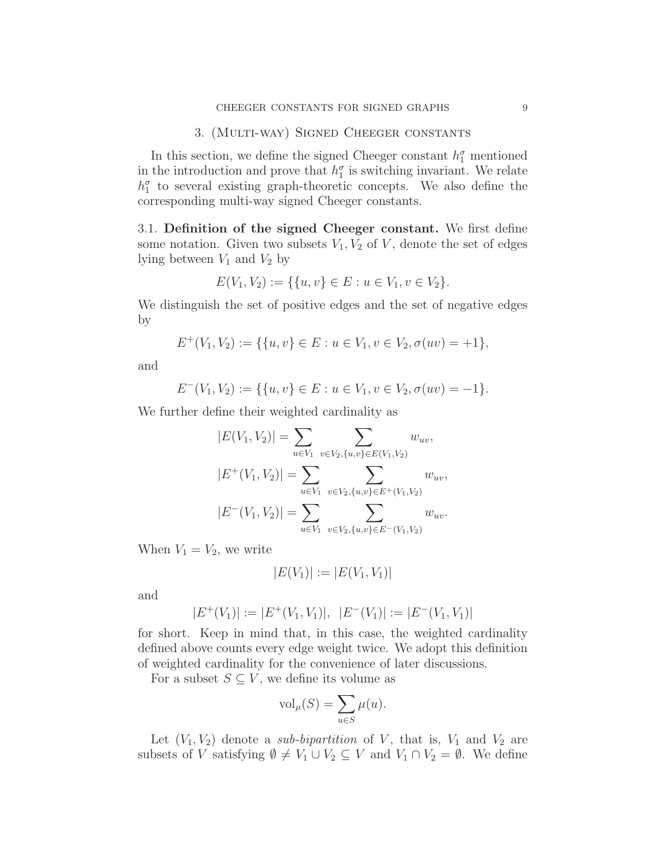### 3. (Multi-way) Signed Cheeger constants

<span id="page-8-0"></span>In this section, we define the signed Cheeger constant  $h_1^{\sigma}$  mentioned in the introduction and prove that  $h_1^{\sigma}$  is switching invariant. We relate  $h_1^{\sigma}$  to several existing graph-theoretic concepts. We also define the corresponding multi-way signed Cheeger constants.

<span id="page-8-1"></span>3.1. Definition of the signed Cheeger constant. We first define some notation. Given two subsets  $V_1, V_2$  of V, denote the set of edges lying between  $V_1$  and  $V_2$  by

$$
E(V_1, V_2) := \{ \{u, v\} \in E : u \in V_1, v \in V_2 \}.
$$

We distinguish the set of positive edges and the set of negative edges by

$$
E^+(V_1, V_2) := \{ \{u, v\} \in E : u \in V_1, v \in V_2, \sigma(uv) = +1 \},\
$$

and

$$
E^-(V_1, V_2) := \{ \{u, v\} \in E : u \in V_1, v \in V_2, \sigma(uv) = -1 \}.
$$

We further define their weighted cardinality as

$$
|E(V_1, V_2)| = \sum_{u \in V_1} \sum_{v \in V_2, \{u, v\} \in E(V_1, V_2)} w_{uv},
$$
  

$$
|E^+(V_1, V_2)| = \sum_{u \in V_1} \sum_{v \in V_2, \{u, v\} \in E^+(V_1, V_2)} w_{uv},
$$
  

$$
|E^-(V_1, V_2)| = \sum_{u \in V_1} \sum_{v \in V_2, \{u, v\} \in E^-(V_1, V_2)} w_{uv}.
$$

When  $V_1 = V_2$ , we write

$$
|E(V_1)| := |E(V_1, V_1)|
$$

and

$$
|E^+(V_1)| := |E^+(V_1, V_1)|, \ |E^-(V_1)| := |E^-(V_1, V_1)|
$$

for short. Keep in mind that, in this case, the weighted cardinality defined above counts every edge weight twice. We adopt this definition of weighted cardinality for the convenience of later discussions.

For a subset  $S \subseteq V$ , we define its volume as

$$
\text{vol}_{\mu}(S) = \sum_{u \in S} \mu(u).
$$

Let  $(V_1, V_2)$  denote a *sub-bipartition* of V, that is,  $V_1$  and  $V_2$  are subsets of V satisfying  $\emptyset \neq V_1 \cup V_2 \subseteq V$  and  $V_1 \cap V_2 = \emptyset$ . We define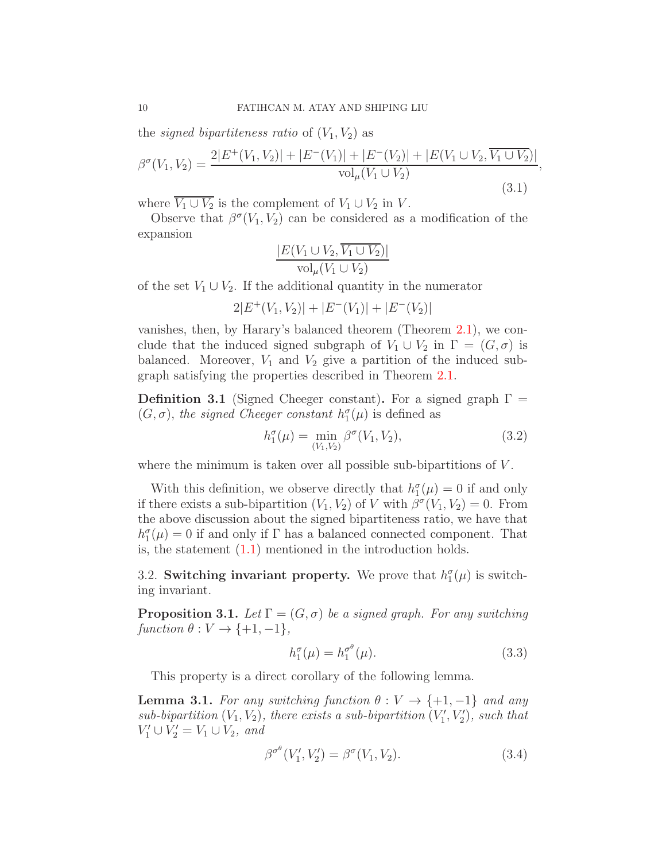the *signed bipartiteness ratio* of  $(V_1, V_2)$  as

$$
\beta^{\sigma}(V_1, V_2) = \frac{2|E^+(V_1, V_2)| + |E^-(V_1)| + |E^-(V_2)| + |E(V_1 \cup V_2, \overline{V_1 \cup V_2})|}{\text{vol}_{\mu}(V_1 \cup V_2)}
$$
\n(3.1)

where  $\overline{V_1 \cup V_2}$  is the complement of  $V_1 \cup V_2$  in V.

Observe that  $\beta^{\sigma}(V_1, V_2)$  can be considered as a modification of the expansion

$$
\frac{|E(V_1 \cup V_2, \overline{V_1 \cup V_2})|}{\text{vol}_{\mu}(V_1 \cup V_2)}
$$

of the set  $V_1 \cup V_2$ . If the additional quantity in the numerator

$$
2|E^+(V_1, V_2)| + |E^-(V_1)| + |E^-(V_2)|
$$

vanishes, then, by Harary's balanced theorem (Theorem [2.1\)](#page-4-2), we conclude that the induced signed subgraph of  $V_1 \cup V_2$  in  $\Gamma = (G, \sigma)$  is balanced. Moreover,  $V_1$  and  $V_2$  give a partition of the induced subgraph satisfying the properties described in Theorem [2.1.](#page-4-2)

<span id="page-9-1"></span>**Definition 3.1** (Signed Cheeger constant). For a signed graph  $\Gamma$  =  $(G, \sigma)$ , the signed Cheeger constant  $h_1^{\sigma}(\mu)$  is defined as

<span id="page-9-5"></span>
$$
h_1^{\sigma}(\mu) = \min_{(V_1, V_2)} \beta^{\sigma}(V_1, V_2), \tag{3.2}
$$

,

where the minimum is taken over all possible sub-bipartitions of  $V$ .

With this definition, we observe directly that  $h_1^{\sigma}(\mu) = 0$  if and only if there exists a sub-bipartition  $(V_1, V_2)$  of V with  $\beta^{\sigma}(V_1, V_2) = 0$ . From the above discussion about the signed bipartiteness ratio, we have that  $h_1^{\sigma}(\mu) = 0$  if and only if  $\Gamma$  has a balanced connected component. That is, the statement [\(1.1\)](#page-2-0) mentioned in the introduction holds.

<span id="page-9-0"></span>3.2. Switching invariant property. We prove that  $h_1^{\sigma}(\mu)$  is switching invariant.

<span id="page-9-3"></span>**Proposition 3.1.** Let  $\Gamma = (G, \sigma)$  be a signed graph. For any switching  $function \ \theta : V \rightarrow \{+1, -1\},\$ 

$$
h_1^{\sigma}(\mu) = h_1^{\sigma^{\theta}}(\mu). \tag{3.3}
$$

This property is a direct corollary of the following lemma.

<span id="page-9-4"></span>**Lemma 3.1.** For any switching function  $\theta: V \to \{+1, -1\}$  and any sub-bipartition  $(V_1, V_2)$ , there exists a sub-bipartition  $(V'_1, V'_2)$ , such that  $V'_1 \cup V'_2 = V_1 \cup V_2$ , and

<span id="page-9-2"></span>
$$
\beta^{\sigma^{\theta}}(V_1', V_2') = \beta^{\sigma}(V_1, V_2). \tag{3.4}
$$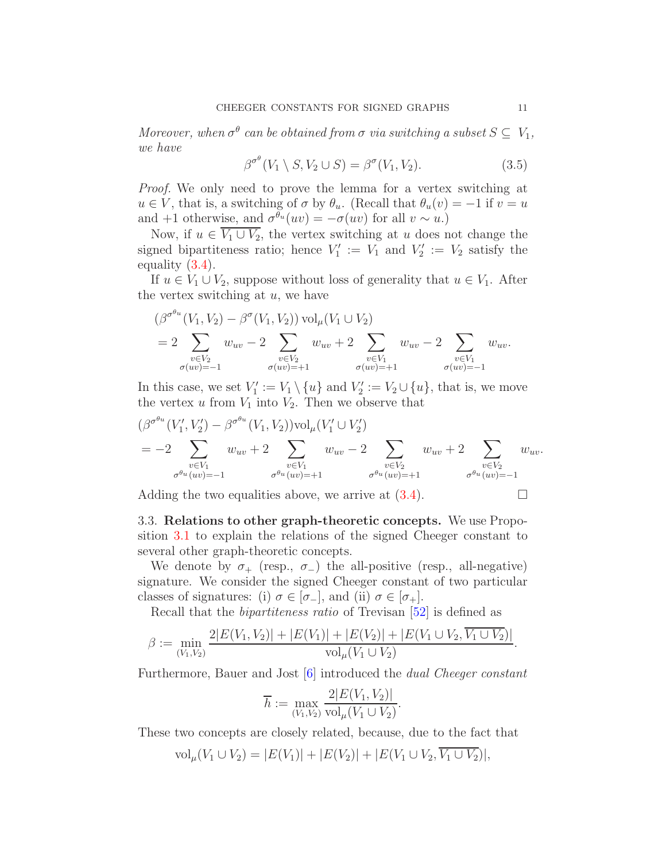Moreover, when  $\sigma^{\theta}$  can be obtained from  $\sigma$  via switching a subset  $S \subseteq V_1$ , we have

$$
\beta^{\sigma^{\theta}}(V_1 \setminus S, V_2 \cup S) = \beta^{\sigma}(V_1, V_2). \tag{3.5}
$$

Proof. We only need to prove the lemma for a vertex switching at  $u \in V$ , that is, a switching of  $\sigma$  by  $\theta_u$ . (Recall that  $\theta_u(v) = -1$  if  $v = u$ and +1 otherwise, and  $\sigma^{\theta_u}(uv) = -\sigma(uv)$  for all  $v \sim u$ .)

Now, if  $u \in V_1 \cup V_2$ , the vertex switching at u does not change the signed bipartiteness ratio; hence  $V'_1 := V_1$  and  $V'_2 := V_2$  satisfy the equality [\(3.4\)](#page-9-2).

If  $u \in V_1 \cup V_2$ , suppose without loss of generality that  $u \in V_1$ . After the vertex switching at  $u$ , we have

$$
(\beta^{\sigma^{\theta_u}}(V_1, V_2) - \beta^{\sigma}(V_1, V_2)) \operatorname{vol}_{\mu}(V_1 \cup V_2)
$$
  
=  $2 \sum_{\substack{v \in V_2 \\ \sigma(uv) = -1}} w_{uv} - 2 \sum_{\substack{v \in V_2 \\ \sigma(uv) = +1}} w_{uv} + 2 \sum_{\substack{v \in V_1 \\ \sigma(uv) = +1}} w_{uv} - 2 \sum_{\substack{v \in V_1 \\ \sigma(uv) = -1}} w_{uv}.$ 

In this case, we set  $V'_1 := V_1 \setminus \{u\}$  and  $V'_2 := V_2 \cup \{u\}$ , that is, we move the vertex  $u$  from  $V_1$  into  $V_2$ . Then we observe that

$$
\begin{aligned}\n &\left(\beta^{\sigma^{\theta_{u}}}(V_{1}', V_{2}') - \beta^{\sigma^{\theta_{u}}}(V_{1}, V_{2})\right) \text{vol}_{\mu}(V_{1}' \cup V_{2}') \\
&= -2 \sum_{\substack{v \in V_{1} \\ \sigma^{\theta_{u}}(uv) = -1}} w_{uv} + 2 \sum_{\substack{v \in V_{1} \\ \sigma^{\theta_{u}}(uv) = +1}} w_{uv} - 2 \sum_{\substack{v \in V_{2} \\ \sigma^{\theta_{u}}(uv) = +1}} w_{uv} + 2 \sum_{\substack{v \in V_{2} \\ \sigma^{\theta_{u}}(uv) = +1}} w_{uv}.\n \end{aligned}
$$

Adding the two equalities above, we arrive at  $(3.4)$ .

<span id="page-10-0"></span>3.3. Relations to other graph-theoretic concepts. We use Proposition [3.1](#page-9-3) to explain the relations of the signed Cheeger constant to several other graph-theoretic concepts.

We denote by  $\sigma_+$  (resp.,  $\sigma_-$ ) the all-positive (resp., all-negative) signature. We consider the signed Cheeger constant of two particular classes of signatures: (i)  $\sigma \in [\sigma_+]$ , and (ii)  $\sigma \in [\sigma_+]$ .

Recall that the *bipartiteness ratio* of Trevisan [\[52\]](#page-42-2) is defined as

$$
\beta := \min_{(V_1, V_2)} \frac{2|E(V_1, V_2)| + |E(V_1)| + |E(V_2)| + |E(V_1 \cup V_2, V_1 \cup V_2)|}{\text{vol}_{\mu}(V_1 \cup V_2)}
$$

Furthermore, Bauer and Jost 6 introduced the *dual Cheeger constant* 

$$
\overline{h} := \max_{(V_1, V_2)} \frac{2|E(V_1, V_2)|}{\text{vol}_{\mu}(V_1 \cup V_2)}.
$$

These two concepts are closely related, because, due to the fact that

$$
\text{vol}_{\mu}(V_1 \cup V_2) = |E(V_1)| + |E(V_2)| + |E(V_1 \cup V_2, \overline{V_1 \cup V_2})|,
$$

.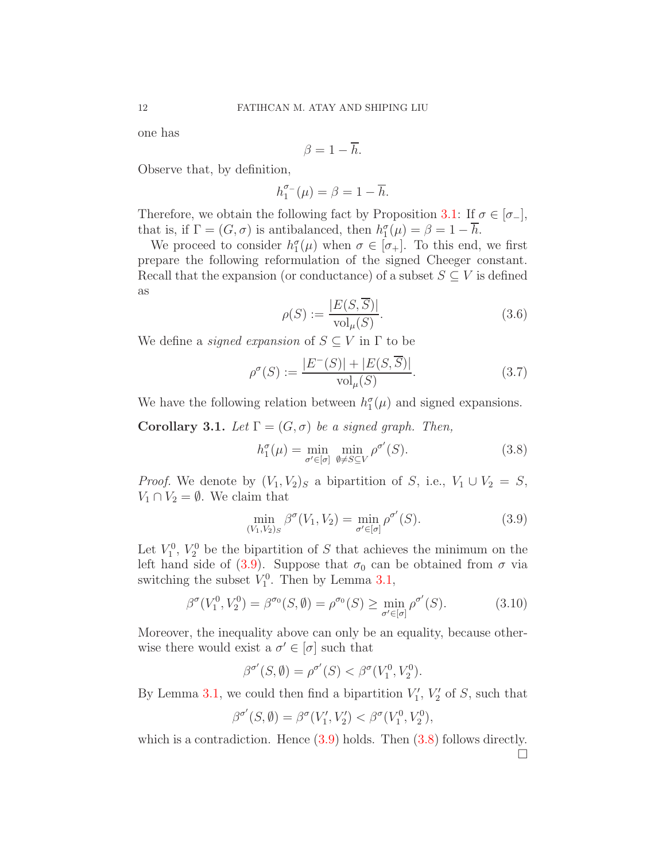one has

$$
\beta=1-\overline{h}.
$$

Observe that, by definition,

$$
h_1^{\sigma_-}(\mu) = \beta = 1 - \overline{h}.
$$

Therefore, we obtain the following fact by Proposition [3.1:](#page-9-3) If  $\sigma \in [\sigma_+]$ , that is, if  $\Gamma = (G, \sigma)$  is antibalanced, then  $h_1^{\sigma}(\mu) = \beta = 1 - \overline{h}$ .

We proceed to consider  $h_1^{\sigma}(\mu)$  when  $\sigma \in [\sigma_+]$ . To this end, we first prepare the following reformulation of the signed Cheeger constant. Recall that the expansion (or conductance) of a subset  $S \subseteq V$  is defined as

$$
\rho(S) := \frac{|E(S, \overline{S})|}{\text{vol}_{\mu}(S)}.
$$
\n(3.6)

We define a *signed expansion* of  $S \subseteq V$  in  $\Gamma$  to be

$$
\rho^{\sigma}(S) := \frac{|E^{-}(S)| + |E(S, \overline{S})|}{\text{vol}_{\mu}(S)}.
$$
\n(3.7)

We have the following relation between  $h_1^{\sigma}(\mu)$  and signed expansions.

<span id="page-11-2"></span>**Corollary 3.1.** Let  $\Gamma = (G, \sigma)$  be a signed graph. Then,

<span id="page-11-1"></span>
$$
h_1^{\sigma}(\mu) = \min_{\sigma' \in [\sigma]} \min_{\emptyset \neq S \subseteq V} \rho^{\sigma'}(S). \tag{3.8}
$$

*Proof.* We denote by  $(V_1, V_2)_S$  a bipartition of S, i.e.,  $V_1 \cup V_2 = S$ ,  $V_1 \cap V_2 = \emptyset$ . We claim that

<span id="page-11-0"></span>
$$
\min_{(V_1, V_2)_S} \beta^{\sigma}(V_1, V_2) = \min_{\sigma' \in [\sigma]} \rho^{\sigma'}(S). \tag{3.9}
$$

Let  $V_1^0$ ,  $V_2^0$  be the bipartition of S that achieves the minimum on the left hand side of [\(3.9\)](#page-11-0). Suppose that  $\sigma_0$  can be obtained from  $\sigma$  via switching the subset  $V_1^0$ . Then by Lemma [3.1,](#page-9-4)

$$
\beta^{\sigma}(V_1^0, V_2^0) = \beta^{\sigma_0}(S, \emptyset) = \rho^{\sigma_0}(S) \ge \min_{\sigma' \in [\sigma]} \rho^{\sigma'}(S). \tag{3.10}
$$

Moreover, the inequality above can only be an equality, because otherwise there would exist a  $\sigma' \in [\sigma]$  such that

$$
\beta^{\sigma'}(S,\emptyset) = \rho^{\sigma'}(S) < \beta^{\sigma}(V_1^0, V_2^0).
$$

By Lemma [3.1,](#page-9-4) we could then find a bipartition  $V'_1$ ,  $V'_2$  of S, such that

$$
\beta^{\sigma'}(S,\emptyset) = \beta^{\sigma}(V'_1,V'_2) < \beta^{\sigma}(V_1^0,V_2^0),
$$

which is a contradiction. Hence  $(3.9)$  holds. Then  $(3.8)$  follows directly.  $\Box$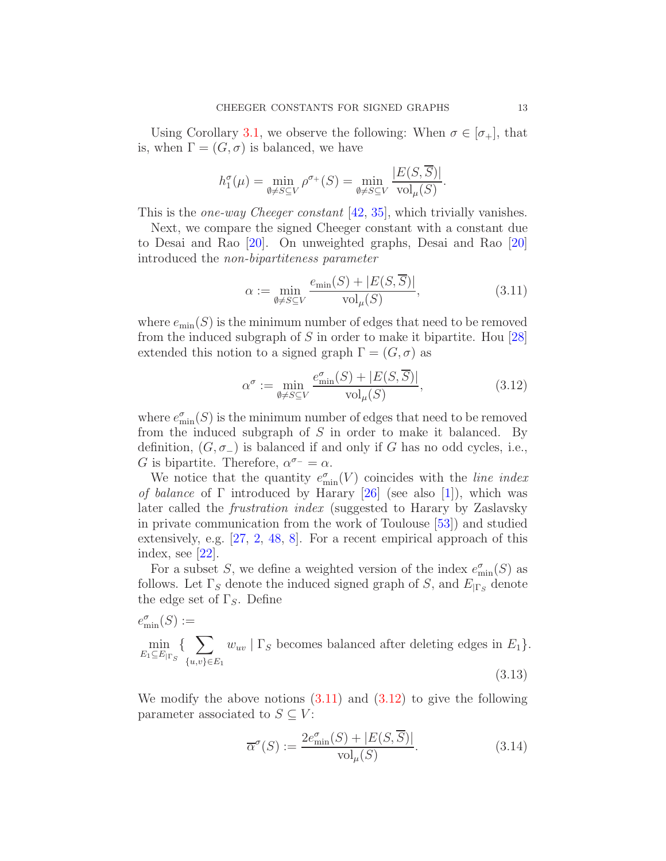Using Corollary [3.1,](#page-11-2) we observe the following: When  $\sigma \in [\sigma_+]$ , that is, when  $\Gamma = (G, \sigma)$  is balanced, we have

$$
h_1^{\sigma}(\mu) = \min_{\emptyset \neq S \subseteq V} \rho^{\sigma_+}(S) = \min_{\emptyset \neq S \subseteq V} \frac{|E(S, \overline{S})|}{\text{vol}_{\mu}(S)}.
$$

This is the one-way Cheeger constant [\[42,](#page-42-10) [35\]](#page-41-0), which trivially vanishes.

Next, we compare the signed Cheeger constant with a constant due to Desai and Rao [\[20\]](#page-40-5). On unweighted graphs, Desai and Rao [\[20\]](#page-40-5) introduced the non-bipartiteness parameter

<span id="page-12-0"></span>
$$
\alpha := \min_{\emptyset \neq S \subseteq V} \frac{e_{\min}(S) + |E(S, \overline{S})|}{\text{vol}_{\mu}(S)},\tag{3.11}
$$

where  $e_{\min}(S)$  is the minimum number of edges that need to be removed from the induced subgraph of S in order to make it bipartite. Hou  $[28]$ extended this notion to a signed graph  $\Gamma = (G, \sigma)$  as

<span id="page-12-1"></span>
$$
\alpha^{\sigma} := \min_{\emptyset \neq S \subseteq V} \frac{e_{\min}^{\sigma}(S) + |E(S, \overline{S})|}{\text{vol}_{\mu}(S)},
$$
\n(3.12)

where  $e_{\min}^{\sigma}(S)$  is the minimum number of edges that need to be removed from the induced subgraph of  $S$  in order to make it balanced. By definition,  $(G, \sigma_{-})$  is balanced if and only if G has no odd cycles, i.e., G is bipartite. Therefore,  $\alpha^{\sigma-} = \alpha$ .

We notice that the quantity  $e_{\min}^{\sigma}(V)$  coincides with the *line index* of balance of  $\Gamma$  introduced by Harary [\[26\]](#page-41-15) (see also [\[1\]](#page-39-2)), which was later called the frustration index (suggested to Harary by Zaslavsky in private communication from the work of Toulouse [\[53\]](#page-42-11)) and studied extensively, e.g. [\[27,](#page-41-16) [2,](#page-39-3) [48,](#page-42-12) [8\]](#page-40-14). For a recent empirical approach of this index, see  $|22|$ .

For a subset S, we define a weighted version of the index  $e_{\min}^{\sigma}(S)$  as follows. Let  $\Gamma_S$  denote the induced signed graph of S, and  $E_{|\Gamma_S}$  denote the edge set of  $\Gamma_{S}$ . Define

<span id="page-12-2"></span>
$$
e_{\min}^{\sigma}(S) :=
$$
  
\n
$$
\min_{E_1 \subseteq E_{|\Gamma_S}} \{ \sum_{\{u,v\} \in E_1} w_{uv} \mid \Gamma_S \text{ becomes balanced after deleting edges in } E_1 \}.
$$
  
\n(3.13)

We modify the above notions  $(3.11)$  and  $(3.12)$  to give the following parameter associated to  $S \subseteq V$ :

$$
\overline{\alpha}^{\sigma}(S) := \frac{2e_{\min}^{\sigma}(S) + |E(S, \overline{S})|}{\text{vol}_{\mu}(S)}.
$$
\n(3.14)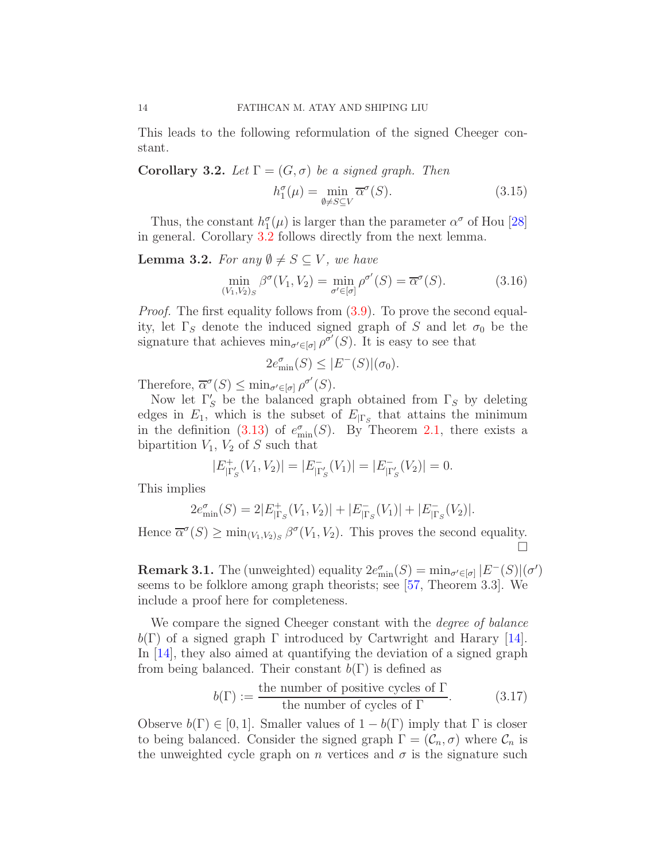This leads to the following reformulation of the signed Cheeger constant.

<span id="page-13-1"></span>**Corollary 3.2.** Let  $\Gamma = (G, \sigma)$  be a signed graph. Then  $h_1^{\sigma}$  $J_1^{\sigma}(\mu) = \min_{\emptyset \neq S \subseteq V} \overline{\alpha}^{\sigma}$  $(3.15)$ 

Thus, the constant  $h_1^{\sigma}(\mu)$  is larger than the parameter  $\alpha^{\sigma}$  of Hou [\[28\]](#page-41-8) in general. Corollary [3.2](#page-13-1) follows directly from the next lemma.

<span id="page-13-2"></span>**Lemma 3.2.** For any  $\emptyset \neq S \subseteq V$ , we have

<span id="page-13-0"></span>
$$
\min_{(V_1, V_2)_S} \beta^{\sigma}(V_1, V_2) = \min_{\sigma' \in [\sigma]} \rho^{\sigma'}(S) = \overline{\alpha}^{\sigma}(S). \tag{3.16}
$$

*Proof.* The first equality follows from  $(3.9)$ . To prove the second equality, let  $\Gamma_S$  denote the induced signed graph of S and let  $\sigma_0$  be the signature that achieves  $\min_{\sigma' \in [\sigma]} \rho^{\sigma'}(S)$ . It is easy to see that

$$
2e_{\min}^{\sigma}(S) \le |E^-(S)|(\sigma_0).
$$

Therefore,  $\overline{\alpha}^{\sigma}(S) \leq \min_{\sigma' \in [\sigma]} \rho^{\sigma'}(S)$ .

Now let  $\Gamma'_S$  be the balanced graph obtained from  $\Gamma_S$  by deleting edges in  $E_1$ , which is the subset of  $E_{|\Gamma_S}$  that attains the minimum in the definition [\(3.13\)](#page-12-2) of  $e_{\min}^{\sigma}(S)$ . By Theorem [2.1,](#page-4-2) there exists a bipartition  $V_1$ ,  $V_2$  of S such that

$$
|E_{|\Gamma'_S}^+(V_1, V_2)| = |E_{|\Gamma'_S}^-(V_1)| = |E_{|\Gamma'_S}^-(V_2)| = 0.
$$

This implies

$$
2e_{\min}^{\sigma}(S) = 2|E_{|\Gamma_S}^+(V_1, V_2)| + |E_{|\Gamma_S}^-(V_1)| + |E_{|\Gamma_S}^-(V_2)|.
$$

Hence  $\overline{\alpha}^{\sigma}(S) \ge \min_{(V_1, V_2)_S} \beta^{\sigma}(V_1, V_2)$ . This proves the second equality. П

**Remark 3.1.** The (unweighted) equality  $2e_{\min}^{\sigma}(S) = \min_{\sigma' \in [\sigma]} |E^{-}(S)|(\sigma')$ seems to be folklore among graph theorists; see [\[57,](#page-42-13) Theorem 3.3]. We include a proof here for completeness.

We compare the signed Cheeger constant with the *degree of balance*  $b(\Gamma)$  of a signed graph  $\Gamma$  introduced by Cartwright and Harary [\[14\]](#page-40-7). In [\[14\]](#page-40-7), they also aimed at quantifying the deviation of a signed graph from being balanced. Their constant  $b(\Gamma)$  is defined as

$$
b(\Gamma) := \frac{\text{the number of positive cycles of } \Gamma}{\text{the number of cycles of } \Gamma}.
$$
 (3.17)

Observe  $b(\Gamma) \in [0, 1]$ . Smaller values of  $1 - b(\Gamma)$  imply that  $\Gamma$  is closer to being balanced. Consider the signed graph  $\Gamma = (\mathcal{C}_n, \sigma)$  where  $\mathcal{C}_n$  is the unweighted cycle graph on n vertices and  $\sigma$  is the signature such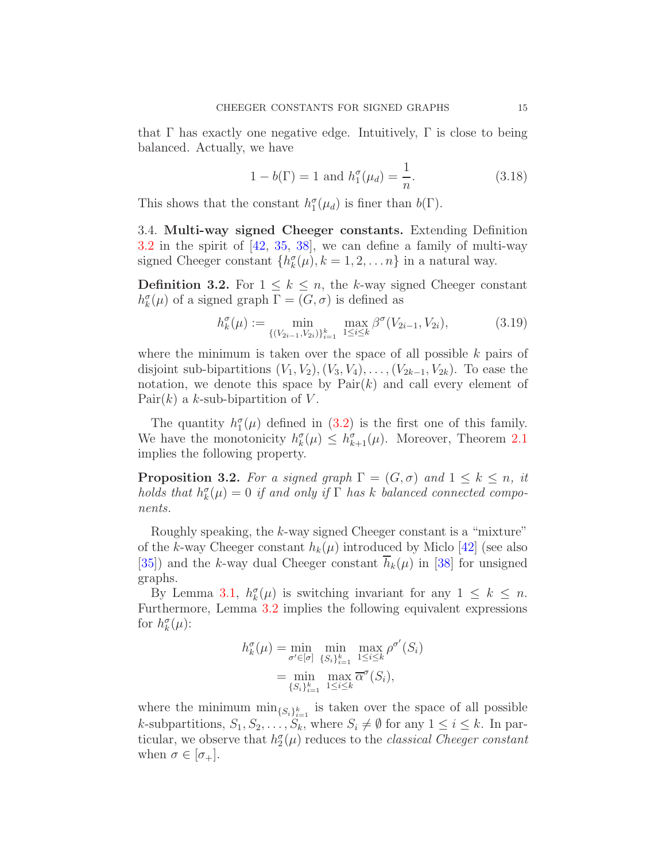that Γ has exactly one negative edge. Intuitively, Γ is close to being balanced. Actually, we have

$$
1 - b(\Gamma) = 1 \text{ and } h_1^{\sigma}(\mu_d) = \frac{1}{n}.
$$
 (3.18)

<span id="page-14-0"></span>This shows that the constant  $h_1^{\sigma}(\mu_d)$  is finer than  $b(\Gamma)$ .

3.4. Multi-way signed Cheeger constants. Extending Definition [3.2](#page-9-5) in the spirit of [\[42,](#page-42-10) [35,](#page-41-0) [38\]](#page-41-1), we can define a family of multi-way signed Cheeger constant  $\{h_k^{\sigma}(\mu), k = 1, 2, ..., n\}$  in a natural way.

<span id="page-14-1"></span>**Definition 3.2.** For  $1 \leq k \leq n$ , the k-way signed Cheeger constant  $h^{\sigma}_{k}(\mu)$  of a signed graph  $\Gamma = (G, \sigma)$  is defined as

<span id="page-14-2"></span>
$$
h_k^{\sigma}(\mu) := \min_{\{ (V_{2i-1}, V_{2i}) \}_{i=1}^k} \max_{1 \le i \le k} \beta^{\sigma}(V_{2i-1}, V_{2i}), \tag{3.19}
$$

where the minimum is taken over the space of all possible  $k$  pairs of disjoint sub-bipartitions  $(V_1, V_2), (V_3, V_4), \ldots, (V_{2k-1}, V_{2k})$ . To ease the notation, we denote this space by  $Pair(k)$  and call every element of Pair $(k)$  a k-sub-bipartition of V.

The quantity  $h_1^{\sigma}(\mu)$  defined in [\(3.2\)](#page-9-5) is the first one of this family. We have the monotonicity  $h_k^{\sigma}(\mu) \leq h_{k+1}^{\sigma}(\mu)$ . Moreover, Theorem [2.1](#page-4-2) implies the following property.

**Proposition 3.2.** For a signed graph  $\Gamma = (G, \sigma)$  and  $1 \leq k \leq n$ , it holds that  $h_k^{\sigma}(\mu) = 0$  if and only if  $\Gamma$  has k balanced connected components.

Roughly speaking, the k-way signed Cheeger constant is a "mixture" of the k-way Cheeger constant  $h_k(\mu)$  introduced by Miclo [\[42\]](#page-42-10) (see also [\[35\]](#page-41-0)) and the k-way dual Cheeger constant  $\overline{h}_k(\mu)$  in [\[38\]](#page-41-1) for unsigned graphs.

By Lemma [3.1,](#page-9-4)  $h_k^{\sigma}(\mu)$  is switching invariant for any  $1 \leq k \leq n$ . Furthermore, Lemma [3.2](#page-13-2) implies the following equivalent expressions for  $h_k^{\sigma}(\mu)$ :

$$
h_k^{\sigma}(\mu) = \min_{\sigma' \in [\sigma]} \min_{\{S_i\}_{i=1}^k} \max_{1 \le i \le k} \rho^{\sigma'}(S_i)
$$
  
= 
$$
\min_{\{S_i\}_{i=1}^k} \max_{1 \le i \le k} \overline{\alpha}^{\sigma}(S_i),
$$

where the minimum  $\min_{\{S_i\}_{i=1}^k}$  is taken over the space of all possible k-subpartitions,  $S_1, S_2, \ldots, S_k$ , where  $S_i \neq \emptyset$  for any  $1 \leq i \leq k$ . In particular, we observe that  $h_2^{\sigma}(\mu)$  reduces to the *classical Cheeger constant* when  $\sigma \in |\sigma_+|$ .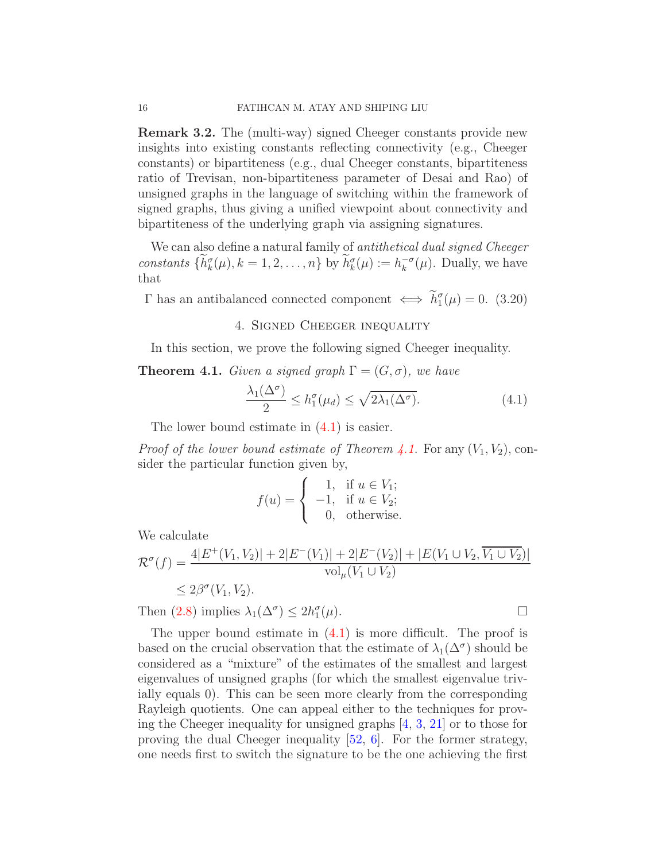Remark 3.2. The (multi-way) signed Cheeger constants provide new insights into existing constants reflecting connectivity (e.g., Cheeger constants) or bipartiteness (e.g., dual Cheeger constants, bipartiteness ratio of Trevisan, non-bipartiteness parameter of Desai and Rao) of unsigned graphs in the language of switching within the framework of signed graphs, thus giving a unified viewpoint about connectivity and bipartiteness of the underlying graph via assigning signatures.

We can also define a natural family of *antithetical dual signed Cheeger* constants  $\{\tilde{h}_k^{\sigma}(\mu), k = 1, 2, ..., n\}$  by  $\tilde{h}_k^{\sigma}(\mu) := h_k^{-\sigma}$  $k^{-\sigma}(\mu)$ . Dually, we have that

<span id="page-15-2"></span><span id="page-15-0"></span> $Γ$  has an antibalanced connected component  $\iff h_1^{\sigma}(\mu) = 0.$  (3.20)

# 4. Signed Cheeger inequality

In this section, we prove the following signed Cheeger inequality.

<span id="page-15-1"></span>**Theorem 4.1.** Given a signed graph  $\Gamma = (G, \sigma)$ , we have

<span id="page-15-3"></span>
$$
\frac{\lambda_1(\Delta^{\sigma})}{2} \le h_1^{\sigma}(\mu_d) \le \sqrt{2\lambda_1(\Delta^{\sigma})}.
$$
\n(4.1)

The lower bound estimate in [\(4.1\)](#page-15-3) is easier.

*Proof of the lower bound estimate of Theorem [4.1.](#page-15-1)* For any  $(V_1, V_2)$ , consider the particular function given by,

$$
f(u) = \begin{cases} 1, & \text{if } u \in V_1; \\ -1, & \text{if } u \in V_2; \\ 0, & \text{otherwise.} \end{cases}
$$

We calculate

$$
\mathcal{R}^{\sigma}(f) = \frac{4|E^+(V_1, V_2)| + 2|E^-(V_1)| + 2|E^-(V_2)| + |E(V_1 \cup V_2, \overline{V_1 \cup V_2})|}{\text{vol}_{\mu}(V_1 \cup V_2)}
$$
  
\n
$$
\leq 2\beta^{\sigma}(V_1, V_2).
$$
  
\nThen (2.8) implies  $\lambda_1(\Delta^{\sigma}) \leq 2h_1^{\sigma}(\mu).$ 

Then [\(2.8\)](#page-7-1) implies  $\lambda_1(\Delta^{\sigma}) \leq 2h_1^{\sigma}$ 

The upper bound estimate in  $(4.1)$  is more difficult. The proof is based on the crucial observation that the estimate of  $\lambda_1(\Delta^{\sigma})$  should be considered as a "mixture" of the estimates of the smallest and largest eigenvalues of unsigned graphs (for which the smallest eigenvalue trivially equals 0). This can be seen more clearly from the corresponding Rayleigh quotients. One can appeal either to the techniques for proving the Cheeger inequality for unsigned graphs [\[4,](#page-40-2) [3,](#page-40-3) [21\]](#page-40-1) or to those for proving the dual Cheeger inequality [\[52,](#page-42-2) [6\]](#page-40-6). For the former strategy, one needs first to switch the signature to be the one achieving the first

$$
\mathcal{L}_{\mathcal{A}}
$$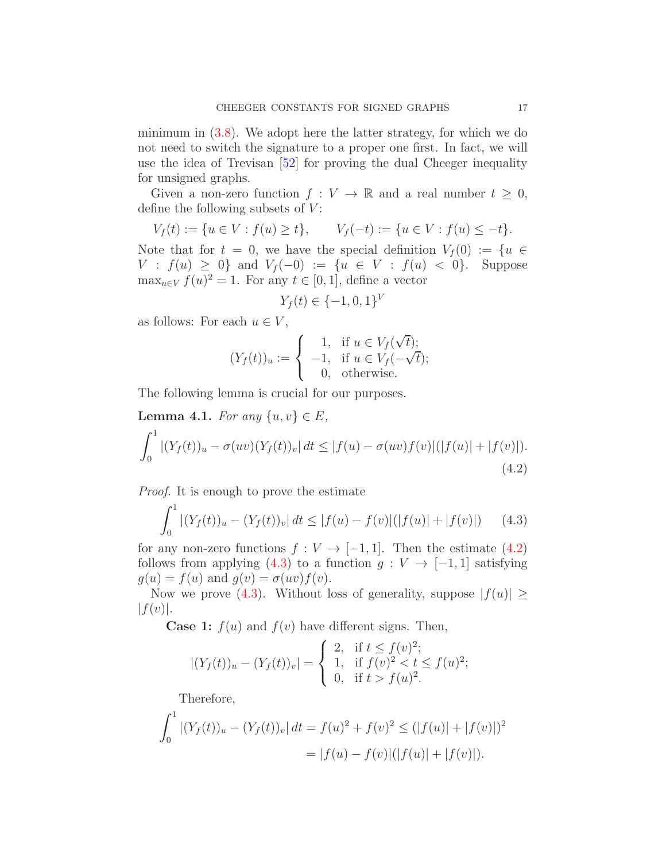minimum in  $(3.8)$ . We adopt here the latter strategy, for which we do not need to switch the signature to a proper one first. In fact, we will use the idea of Trevisan [\[52\]](#page-42-2) for proving the dual Cheeger inequality for unsigned graphs.

Given a non-zero function  $f: V \to \mathbb{R}$  and a real number  $t \geq 0$ , define the following subsets of  $V$ :

$$
V_f(t) := \{ u \in V : f(u) \ge t \}, \qquad V_f(-t) := \{ u \in V : f(u) \le -t \}.
$$

Note that for  $t = 0$ , we have the special definition  $V_f(0) := \{u \in$  $V : f(u) \geq 0$  and  $V_f(-0) := \{u \in V : f(u) < 0\}$ . Suppose  $\max_{u \in V} f(u)^2 = 1$ . For any  $t \in [0, 1]$ , define a vector

$$
Y_f(t) \in \{-1, 0, 1\}^V
$$

as follows: For each  $u \in V$ ,

$$
(Y_f(t))_u := \begin{cases} 1, & \text{if } u \in V_f(\sqrt{t}); \\ -1, & \text{if } u \in V_f(-\sqrt{t}); \\ 0, & \text{otherwise.} \end{cases}
$$

The following lemma is crucial for our purposes.

<span id="page-16-2"></span>Lemma 4.1. For any  $\{u, v\} \in E$ ,

<span id="page-16-0"></span>
$$
\int_0^1 |(Y_f(t))_u - \sigma(uv)(Y_f(t))_v| \, dt \le |f(u) - \sigma(uv)f(v)|(|f(u)| + |f(v)|).
$$
\n(4.2)

Proof. It is enough to prove the estimate

<span id="page-16-1"></span>
$$
\int_0^1 |(Y_f(t))_u - (Y_f(t))_v| \, dt \le |f(u) - f(v)|(|f(u)| + |f(v)|) \tag{4.3}
$$

for any non-zero functions  $f: V \to [-1, 1]$ . Then the estimate [\(4.2\)](#page-16-0) follows from applying [\(4.3\)](#page-16-1) to a function  $g: V \to [-1, 1]$  satisfying  $g(u) = f(u)$  and  $g(v) = \sigma(uv) f(v)$ .

Now we prove [\(4.3\)](#page-16-1). Without loss of generality, suppose  $|f(u)| \ge$  $|f(v)|$ .

**Case 1:**  $f(u)$  and  $f(v)$  have different signs. Then,

$$
|(Y_f(t))_u - (Y_f(t))_v| = \begin{cases} 2, & \text{if } t \le f(v)^2; \\ 1, & \text{if } f(v)^2 < t \le f(u)^2; \\ 0, & \text{if } t > f(u)^2. \end{cases}
$$

Therefore,

$$
\int_0^1 |(Y_f(t))_u - (Y_f(t))_v| \, dt = f(u)^2 + f(v)^2 \le (|f(u)| + |f(v)|)^2
$$
  
= |f(u) - f(v)|(|f(u)| + |f(v)|).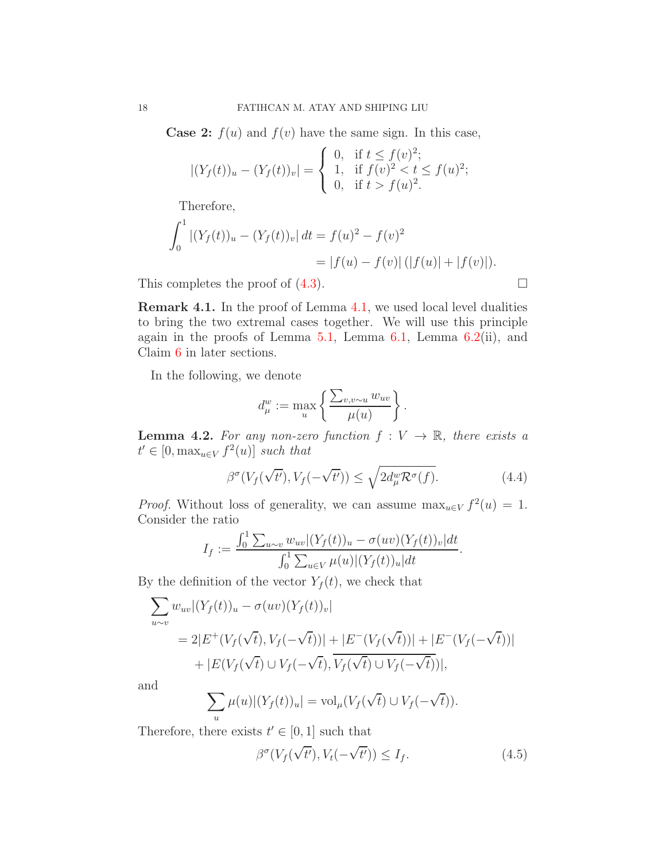**Case 2:**  $f(u)$  and  $f(v)$  have the same sign. In this case,

$$
|(Y_f(t))_u - (Y_f(t))_v| = \begin{cases} 0, & \text{if } t \le f(v)^2; \\ 1, & \text{if } f(v)^2 < t \le f(u)^2; \\ 0, & \text{if } t > f(u)^2. \end{cases}
$$

Therefore,

$$
\int_0^1 |(Y_f(t))_u - (Y_f(t))_v| dt = f(u)^2 - f(v)^2
$$
  
= |f(u) - f(v)| (|f(u)| + |f(v)|).

This completes the proof of  $(4.3)$ .

Remark 4.1. In the proof of Lemma [4.1,](#page-16-2) we used local level dualities to bring the two extremal cases together. We will use this principle again in the proofs of Lemma  $5.1$ , Lemma  $6.1$ , Lemma  $6.2$ (ii), and Claim [6](#page-31-0) in later sections.

In the following, we denote

$$
d_{\mu}^{w} := \max_{u} \left\{ \frac{\sum_{v,v \sim u} w_{uv}}{\mu(u)} \right\}.
$$

<span id="page-17-1"></span>**Lemma 4.2.** For any non-zero function  $f: V \to \mathbb{R}$ , there exists a  $t' \in [0, \max_{u \in V} f^2(u)]$  such that

$$
\beta^{\sigma}(V_f(\sqrt{t'}), V_f(-\sqrt{t'})) \le \sqrt{2d^w_{\mu}\mathcal{R}^{\sigma}(f)}.
$$
\n(4.4)

*Proof.* Without loss of generality, we can assume  $\max_{u \in V} f^2(u) = 1$ . Consider the ratio

$$
I_f := \frac{\int_0^1 \sum_{u \sim v} w_{uv} |(Y_f(t))_u - \sigma(uv)(Y_f(t))_v| dt}{\int_0^1 \sum_{u \in V} \mu(u) |(Y_f(t))_u| dt}.
$$

By the definition of the vector  $Y_f(t)$ , we check that

$$
\sum_{u \sim v} w_{uv} | (Y_f(t))_u - \sigma(uv) (Y_f(t))_v |
$$
  
= 2|E<sup>+</sup>(V<sub>f</sub>( $\sqrt{t}$ ), V<sub>f</sub>( $-\sqrt{t}$ ))| + |E<sup>-</sup>(V<sub>f</sub>( $\sqrt{t}$ ))| + |E<sup>-</sup>(V<sub>f</sub>( $-\sqrt{t}$ ))|  
+ |E(V<sub>f</sub>( $\sqrt{t}$ )  $\cup$  V<sub>f</sub>( $-\sqrt{t}$ ), V<sub>f</sub>( $\sqrt{t}$ )  $\cup$  V<sub>f</sub>( $-\sqrt{t}$ ))|,

and

$$
\sum_{u} \mu(u) |(Y_f(t))_u| = \text{vol}_{\mu}(V_f(\sqrt{t}) \cup V_f(-\sqrt{t})).
$$

Therefore, there exists  $t' \in [0, 1]$  such that

<span id="page-17-0"></span>
$$
\beta^{\sigma}(V_f(\sqrt{t'}), V_t(-\sqrt{t'})) \le I_f.
$$
\n(4.5)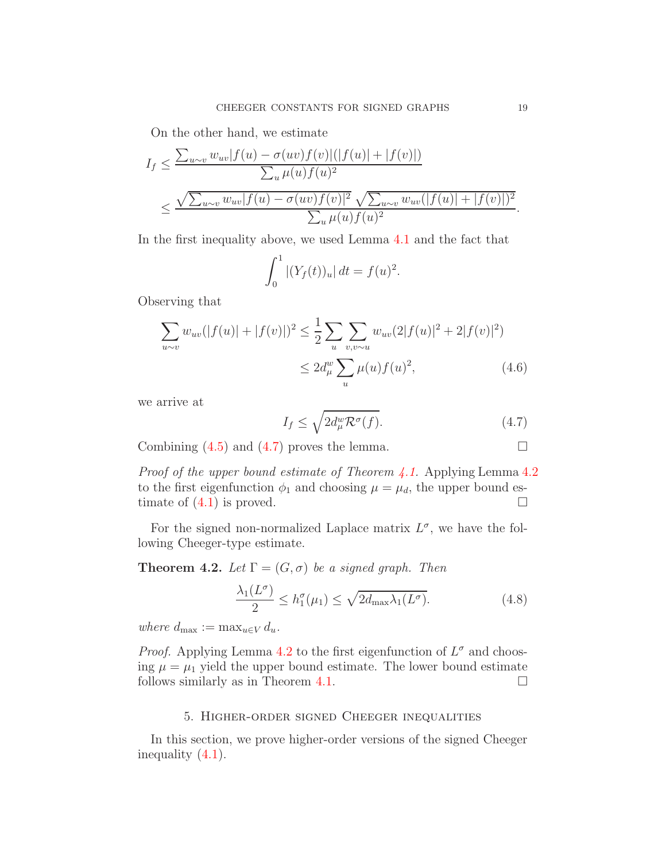On the other hand, we estimate

$$
I_f \leq \frac{\sum_{u \sim v} w_{uv} |f(u) - \sigma(uv)f(v)|(|f(u)| + |f(v)|)}{\sum_u \mu(u)f(u)^2}
$$
  

$$
\leq \frac{\sqrt{\sum_{u \sim v} w_{uv} |f(u) - \sigma(uv)f(v)|^2} \sqrt{\sum_{u \sim v} w_{uv} (|f(u)| + |f(v)|)^2}}{\sum_u \mu(u)f(u)^2}.
$$

In the first inequality above, we used Lemma [4.1](#page-16-2) and the fact that

$$
\int_0^1 |(Y_f(t))_u| \, dt = f(u)^2.
$$

Observing that

$$
\sum_{u \sim v} w_{uv} (|f(u)| + |f(v)|)^2 \le \frac{1}{2} \sum_{u} \sum_{v,v \sim u} w_{uv} (2|f(u)|^2 + 2|f(v)|^2)
$$
  

$$
\le 2d_{\mu}^w \sum_{u} \mu(u) f(u)^2, \tag{4.6}
$$

we arrive at

<span id="page-18-1"></span>
$$
I_f \le \sqrt{2d^w_\mu \mathcal{R}^\sigma(f)}.\tag{4.7}
$$

Combining  $(4.5)$  and  $(4.7)$  proves the lemma.

*Proof of the upper bound estimate of Theorem [4.1.](#page-15-1)* Applying Lemma  $4.2$ to the first eigenfunction  $\phi_1$  and choosing  $\mu = \mu_d$ , the upper bound estimate of  $(4.1)$  is proved.

For the signed non-normalized Laplace matrix  $L^{\sigma}$ , we have the following Cheeger-type estimate.

**Theorem 4.2.** Let  $\Gamma = (G, \sigma)$  be a signed graph. Then

$$
\frac{\lambda_1(L^{\sigma})}{2} \le h_1^{\sigma}(\mu_1) \le \sqrt{2d_{\max}\lambda_1(L^{\sigma})}.
$$
\n(4.8)

where  $d_{\max} := \max_{u \in V} d_u$ .

*Proof.* Applying Lemma [4.2](#page-17-1) to the first eigenfunction of  $L^{\sigma}$  and choosing  $\mu = \mu_1$  yield the upper bound estimate. The lower bound estimate follows similarly as in Theorem [4.1.](#page-15-1)  $\Box$ 

## 5. Higher-order signed Cheeger inequalities

<span id="page-18-0"></span>In this section, we prove higher-order versions of the signed Cheeger inequality [\(4.1\)](#page-15-3).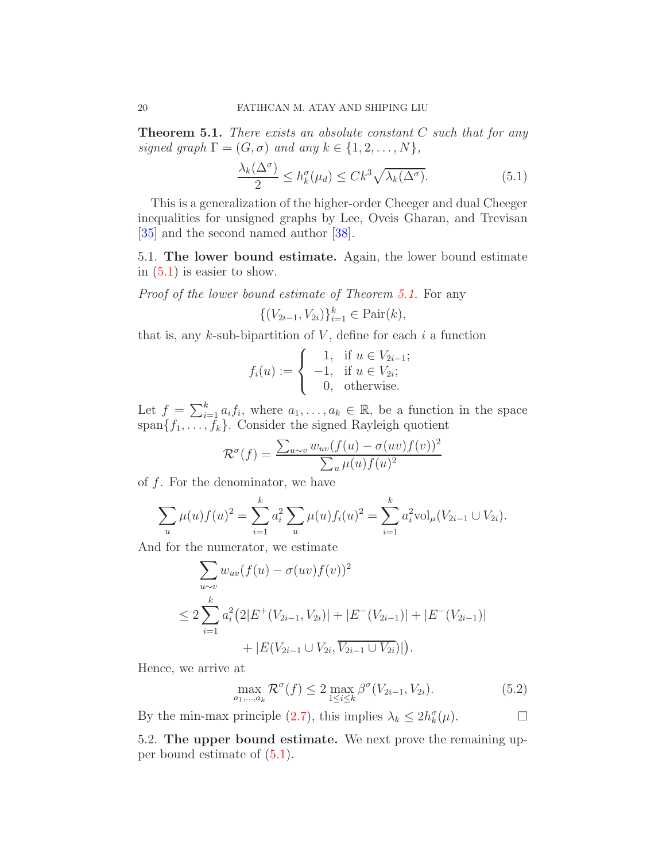<span id="page-19-2"></span>**Theorem 5.1.** There exists an absolute constant  $C$  such that for any signed graph  $\Gamma = (G, \sigma)$  and any  $k \in \{1, 2, ..., N\},$ 

<span id="page-19-3"></span>
$$
\frac{\lambda_k(\Delta^{\sigma})}{2} \le h_k^{\sigma}(\mu_d) \le Ck^3 \sqrt{\lambda_k(\Delta^{\sigma})}.
$$
\n(5.1)

This is a generalization of the higher-order Cheeger and dual Cheeger inequalities for unsigned graphs by Lee, Oveis Gharan, and Trevisan [\[35\]](#page-41-0) and the second named author [\[38\]](#page-41-1).

<span id="page-19-0"></span>5.1. The lower bound estimate. Again, the lower bound estimate in  $(5.1)$  is easier to show.

Proof of the lower bound estimate of Theorem [5.1.](#page-19-2) For any

$$
\{(V_{2i-1}, V_{2i})\}_{i=1}^k \in \text{Pair}(k),
$$

that is, any  $k$ -sub-bipartition of  $V$ , define for each  $i$  a function

$$
f_i(u) := \begin{cases} 1, & \text{if } u \in V_{2i-1}; \\ -1, & \text{if } u \in V_{2i}; \\ 0, & \text{otherwise.} \end{cases}
$$

Let  $f = \sum_{i=1}^k a_i f_i$ , where  $a_1, \ldots, a_k \in \mathbb{R}$ , be a function in the space span ${f_1, \ldots, f_k}$ . Consider the signed Rayleigh quotient

$$
\mathcal{R}^{\sigma}(f) = \frac{\sum_{u \sim v} w_{uv}(f(u) - \sigma(uv)f(v))^2}{\sum_u \mu(u)f(u)^2}
$$

of  $f$ . For the denominator, we have

$$
\sum_{u} \mu(u) f(u)^2 = \sum_{i=1}^k a_i^2 \sum_{u} \mu(u) f_i(u)^2 = \sum_{i=1}^k a_i^2 \text{vol}_{\mu}(V_{2i-1} \cup V_{2i}).
$$

And for the numerator, we estimate

$$
\sum_{u \sim v} w_{uv} (f(u) - \sigma(uv) f(v))^2
$$
\n
$$
\leq 2 \sum_{i=1}^k a_i^2 (2|E^+(V_{2i-1}, V_{2i})| + |E^-(V_{2i-1})| + |E^-(V_{2i-1})| + |E(V_{2i-1} \cup V_{2i}, \overline{V_{2i-1} \cup V_{2i}})|).
$$

Hence, we arrive at

$$
\max_{a_1,\dots,a_k} \mathcal{R}^{\sigma}(f) \le 2 \max_{1 \le i \le k} \beta^{\sigma}(V_{2i-1}, V_{2i}).
$$
\n(5.2)

<span id="page-19-1"></span>By the min-max principle [\(2.7\)](#page-7-0), this implies  $\lambda_k \leq 2h_k^{\sigma}(\mu)$ .

5.2. The upper bound estimate. We next prove the remaining upper bound estimate of [\(5.1\)](#page-19-3).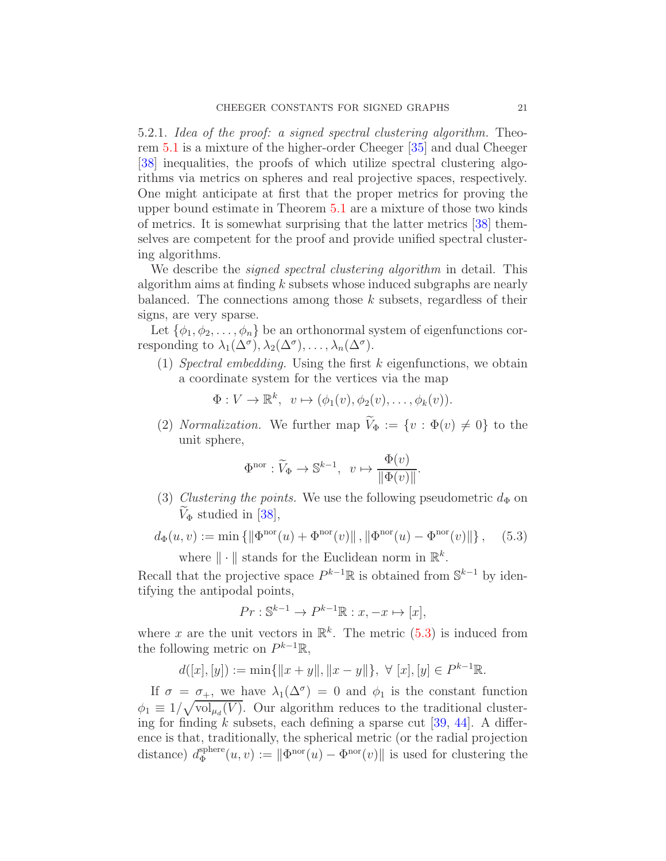5.2.1. Idea of the proof: a signed spectral clustering algorithm. Theorem [5.1](#page-19-2) is a mixture of the higher-order Cheeger [\[35\]](#page-41-0) and dual Cheeger [\[38\]](#page-41-1) inequalities, the proofs of which utilize spectral clustering algorithms via metrics on spheres and real projective spaces, respectively. One might anticipate at first that the proper metrics for proving the upper bound estimate in Theorem [5.1](#page-19-2) are a mixture of those two kinds of metrics. It is somewhat surprising that the latter metrics [\[38\]](#page-41-1) themselves are competent for the proof and provide unified spectral clustering algorithms.

We describe the *signed spectral clustering algorithm* in detail. This algorithm aims at finding  $k$  subsets whose induced subgraphs are nearly balanced. The connections among those k subsets, regardless of their signs, are very sparse.

Let  $\{\phi_1, \phi_2, \ldots, \phi_n\}$  be an orthonormal system of eigenfunctions corresponding to  $\lambda_1(\Delta^{\sigma}), \lambda_2(\Delta^{\sigma}), \ldots, \lambda_n(\Delta^{\sigma}).$ 

(1) Spectral embedding. Using the first k eigenfunctions, we obtain a coordinate system for the vertices via the map

$$
\Phi: V \to \mathbb{R}^k, \ v \mapsto (\phi_1(v), \phi_2(v), \dots, \phi_k(v)).
$$

(2) Normalization. We further map  $\widetilde{V}_{\Phi} := \{v : \Phi(v) \neq 0\}$  to the unit sphere,

$$
\Phi^{\text{nor}} : \widetilde{V}_{\Phi} \to \mathbb{S}^{k-1}, \ \ v \mapsto \frac{\Phi(v)}{\|\Phi(v)\|}.
$$

(3) Clustering the points. We use the following pseudometric  $d_{\Phi}$  on  $V_{\Phi}$  studied in [\[38\]](#page-41-1),

<span id="page-20-0"></span>
$$
d_{\Phi}(u, v) := \min \{ \|\Phi^{\text{nor}}(u) + \Phi^{\text{nor}}(v)\|, \|\Phi^{\text{nor}}(u) - \Phi^{\text{nor}}(v)\| \}, \quad (5.3)
$$
  
where  $\|\cdot\|$  stands for the Euclidean norm in  $\mathbb{R}^k$ .

Recall that the projective space  $P^{k-1}\mathbb{R}$  is obtained from  $\mathbb{S}^{k-1}$  by identifying the antipodal points,

$$
Pr: \mathbb{S}^{k-1} \to P^{k-1}\mathbb{R} : x, -x \mapsto [x],
$$

where x are the unit vectors in  $\mathbb{R}^k$ . The metric [\(5.3\)](#page-20-0) is induced from the following metric on  $P^{k-1}\mathbb{R}$ ,

$$
d([x],[y]):=\min\{\|x+y\|,\|x-y\|\},\ \forall\ [x],[y]\in P^{k-1}\mathbb{R}.
$$

If  $\sigma = \sigma_+$ , we have  $\lambda_1(\Delta^{\sigma}) = 0$  and  $\phi_1$  is the constant function  $\phi_1 \equiv 1/\sqrt{\text{vol}_{\mu_d}(V)}$ . Our algorithm reduces to the traditional clustering for finding k subsets, each defining a sparse cut  $[39, 44]$  $[39, 44]$ . A difference is that, traditionally, the spherical metric (or the radial projection distance)  $d_{\Phi}^{\text{sphere}}$  $\Phi_{\Phi}^{\text{sphere}}(u, v) := \|\Phi^{\text{nor}}(u) - \Phi^{\text{nor}}(v)\|$  is used for clustering the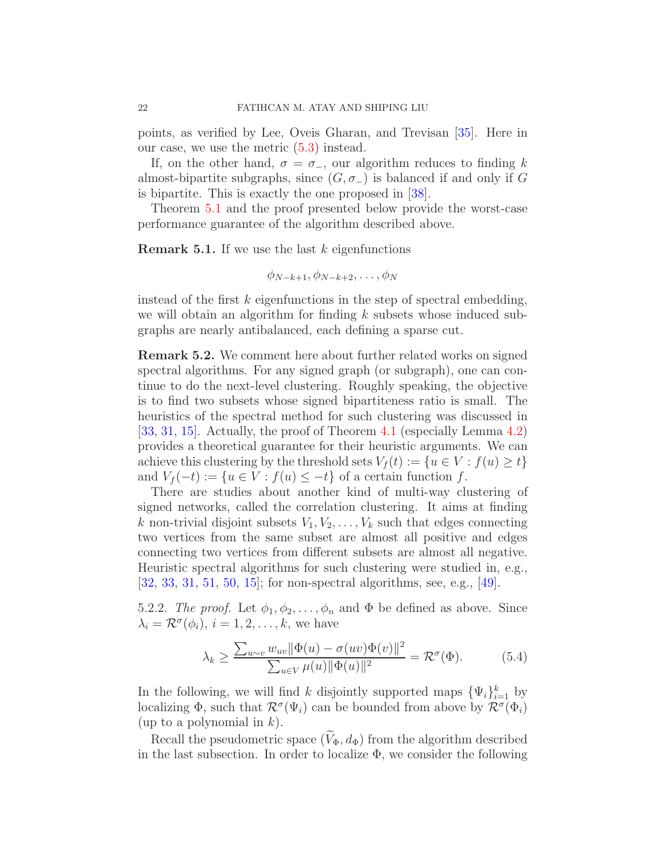points, as verified by Lee, Oveis Gharan, and Trevisan [\[35\]](#page-41-0). Here in our case, we use the metric  $(5.3)$  instead.

If, on the other hand,  $\sigma = \sigma_{-}$ , our algorithm reduces to finding k almost-bipartite subgraphs, since  $(G, \sigma_{-})$  is balanced if and only if G is bipartite. This is exactly the one proposed in [\[38\]](#page-41-1).

Theorem [5.1](#page-19-2) and the proof presented below provide the worst-case performance guarantee of the algorithm described above.

**Remark 5.1.** If we use the last  $k$  eigenfunctions

$$
\phi_{N-k+1}, \phi_{N-k+2}, \ldots, \phi_N
$$

instead of the first  $k$  eigenfunctions in the step of spectral embedding, we will obtain an algorithm for finding  $k$  subsets whose induced subgraphs are nearly antibalanced, each defining a sparse cut.

Remark 5.2. We comment here about further related works on signed spectral algorithms. For any signed graph (or subgraph), one can continue to do the next-level clustering. Roughly speaking, the objective is to find two subsets whose signed bipartiteness ratio is small. The heuristics of the spectral method for such clustering was discussed in [\[33,](#page-41-12) [31,](#page-41-17) [15\]](#page-40-17). Actually, the proof of Theorem [4.1](#page-15-1) (especially Lemma [4.2\)](#page-17-1) provides a theoretical guarantee for their heuristic arguments. We can achieve this clustering by the threshold sets  $V_f(t) := \{u \in V : f(u) \ge t\}$ and  $V_f(-t) := \{u \in V : f(u) \leq -t\}$  of a certain function f.

There are studies about another kind of multi-way clustering of signed networks, called the correlation clustering. It aims at finding k non-trivial disjoint subsets  $V_1, V_2, \ldots, V_k$  such that edges connecting two vertices from the same subset are almost all positive and edges connecting two vertices from different subsets are almost all negative. Heuristic spectral algorithms for such clustering were studied in, e.g., [\[32,](#page-41-5) [33,](#page-41-12) [31,](#page-41-17) [51,](#page-42-4) [50,](#page-42-5) [15\]](#page-40-17); for non-spectral algorithms, see, e.g., [\[49\]](#page-42-14).

5.2.2. The proof. Let  $\phi_1, \phi_2, \ldots, \phi_n$  and  $\Phi$  be defined as above. Since  $\lambda_i = \mathcal{R}^{\sigma}(\phi_i), i = 1, 2, ..., k$ , we have

<span id="page-21-0"></span>
$$
\lambda_k \ge \frac{\sum_{u \sim v} w_{uv} \|\Phi(u) - \sigma(uv)\Phi(v)\|^2}{\sum_{u \in V} \mu(u) \|\Phi(u)\|^2} = \mathcal{R}^\sigma(\Phi). \tag{5.4}
$$

In the following, we will find k disjointly supported maps  $\{\Psi_i\}_{i=1}^k$  by localizing  $\Phi$ , such that  $\mathcal{R}^{\sigma}(\Psi_i)$  can be bounded from above by  $\mathcal{R}^{\sigma}(\Phi_i)$ (up to a polynomial in  $k$ ).

Recall the pseudometric space  $(\widetilde{V}_{\Phi}, d_{\Phi})$  from the algorithm described in the last subsection. In order to localize  $\Phi$ , we consider the following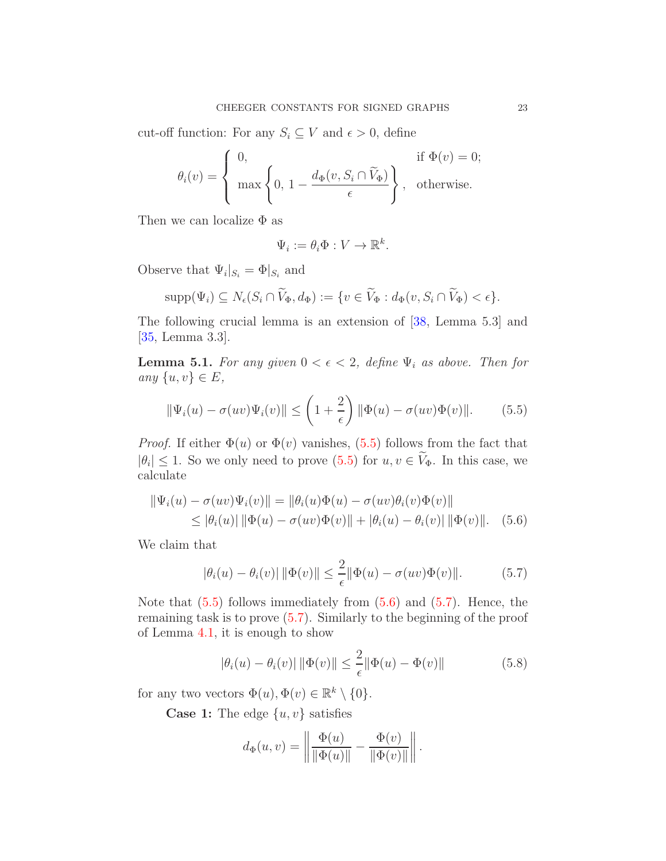cut-off function: For any  $S_i \subseteq V$  and  $\epsilon > 0$ , define

$$
\theta_i(v) = \begin{cases} 0, & \text{if } \Phi(v) = 0; \\ \max\left\{0, 1 - \frac{d_{\Phi}(v, S_i \cap \widetilde{V}_{\Phi})}{\epsilon}\right\}, & \text{otherwise.} \end{cases}
$$

Then we can localize  $\Phi$  as

$$
\Psi_i := \theta_i \Phi : V \to \mathbb{R}^k.
$$

Observe that  $\Psi_i|_{S_i} = \Phi|_{S_i}$  and

$$
\mathrm{supp}(\Psi_i) \subseteq N_{\epsilon}(S_i \cap \widetilde{V}_{\Phi}, d_{\Phi}) := \{v \in \widetilde{V}_{\Phi} : d_{\Phi}(v, S_i \cap \widetilde{V}_{\Phi}) < \epsilon\}.
$$

The following crucial lemma is an extension of [\[38,](#page-41-1) Lemma 5.3] and [\[35,](#page-41-0) Lemma 3.3].

<span id="page-22-0"></span>**Lemma 5.1.** For any given  $0 < \epsilon < 2$ , define  $\Psi_i$  as above. Then for any  $\{u, v\} \in E$ ,

<span id="page-22-1"></span>
$$
\|\Psi_i(u) - \sigma(uv)\Psi_i(v)\| \le \left(1 + \frac{2}{\epsilon}\right) \|\Phi(u) - \sigma(uv)\Phi(v)\|.
$$
 (5.5)

*Proof.* If either  $\Phi(u)$  or  $\Phi(v)$  vanishes, [\(5.5\)](#page-22-1) follows from the fact that  $|\theta_i| \leq 1$ . So we only need to prove [\(5.5\)](#page-22-1) for  $u, v \in V_{\Phi}$ . In this case, we calculate

$$
\|\Psi_i(u) - \sigma(uv)\Psi_i(v)\| = \|\theta_i(u)\Phi(u) - \sigma(uv)\theta_i(v)\Phi(v)\|
$$
  
\n
$$
\leq |\theta_i(u)| \|\Phi(u) - \sigma(uv)\Phi(v)\| + |\theta_i(u) - \theta_i(v)| \|\Phi(v)\|. \quad (5.6)
$$

We claim that

<span id="page-22-3"></span><span id="page-22-2"></span>
$$
|\theta_i(u) - \theta_i(v)| \|\Phi(v)\| \le \frac{2}{\epsilon} \|\Phi(u) - \sigma(uv)\Phi(v)\|.
$$
 (5.7)

Note that [\(5.5\)](#page-22-1) follows immediately from [\(5.6\)](#page-22-2) and [\(5.7\)](#page-22-3). Hence, the remaining task is to prove [\(5.7\)](#page-22-3). Similarly to the beginning of the proof of Lemma [4.1,](#page-16-2) it is enough to show

<span id="page-22-4"></span>
$$
|\theta_i(u) - \theta_i(v)| \|\Phi(v)\| \le \frac{2}{\epsilon} \|\Phi(u) - \Phi(v)\|
$$
 (5.8)

for any two vectors  $\Phi(u), \Phi(v) \in \mathbb{R}^k \setminus \{0\}.$ 

**Case 1:** The edge  $\{u, v\}$  satisfies

$$
d_{\Phi}(u,v) = \left\|\frac{\Phi(u)}{\|\Phi(u)\|} - \frac{\Phi(v)}{\|\Phi(v)\|}\right\|.
$$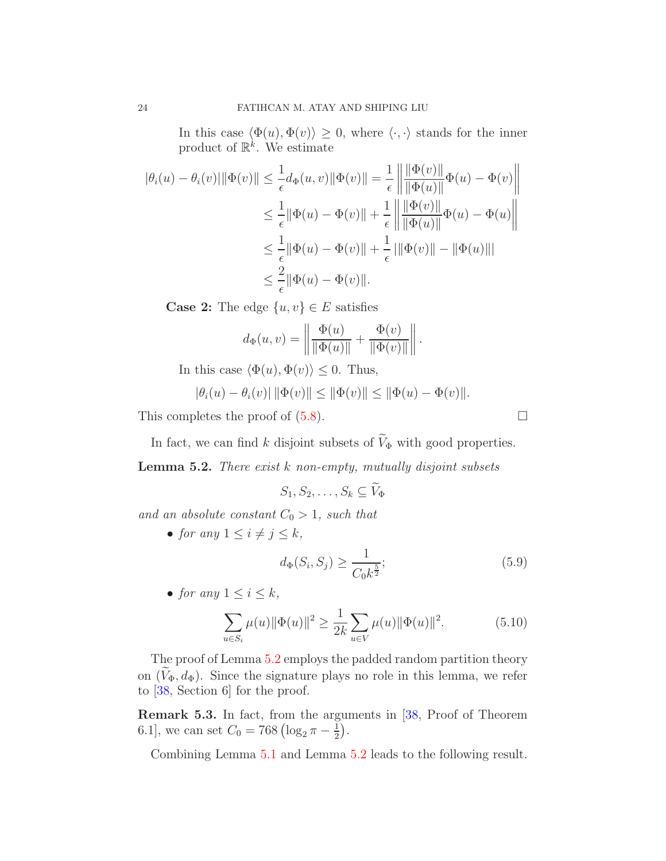In this case  $\langle \Phi(u), \Phi(v) \rangle \geq 0$ , where  $\langle \cdot, \cdot \rangle$  stands for the inner product of  $\mathbb{R}^k$ . We estimate

$$
\begin{aligned} |\theta_i(u) - \theta_i(v)| \|\Phi(v)\| &\leq \frac{1}{\epsilon} d_{\Phi}(u, v) \|\Phi(v)\| = \frac{1}{\epsilon} \left\| \frac{\|\Phi(v)\|}{\|\Phi(u)\|} \Phi(u) - \Phi(v) \right\| \\ &\leq \frac{1}{\epsilon} \|\Phi(u) - \Phi(v)\| + \frac{1}{\epsilon} \left\| \frac{\|\Phi(v)\|}{\|\Phi(u)\|} \Phi(u) - \Phi(u) \right\| \\ &\leq \frac{1}{\epsilon} \|\Phi(u) - \Phi(v)\| + \frac{1}{\epsilon} \left\| \|\Phi(v)\| - \|\Phi(u)\| \right\| \\ &\leq \frac{2}{\epsilon} \|\Phi(u) - \Phi(v)\|. \end{aligned}
$$

**Case 2:** The edge  $\{u, v\} \in E$  satisfies

$$
d_{\Phi}(u, v) = \left\| \frac{\Phi(u)}{\|\Phi(u)\|} + \frac{\Phi(v)}{\|\Phi(v)\|} \right\|.
$$

In this case  $\langle \Phi(u), \Phi(v) \rangle \leq 0$ . Thus,

$$
|\theta_i(u) - \theta_i(v)| \|\Phi(v)\| \le \|\Phi(v)\| \le \|\Phi(u) - \Phi(v)\|.
$$

This completes the proof of  $(5.8)$ .

In fact, we can find k disjoint subsets of  $V_{\Phi}$  with good properties.

<span id="page-23-0"></span>**Lemma 5.2.** There exist  $k$  non-empty, mutually disjoint subsets

$$
S_1, S_2, \ldots, S_k \subseteq V_{\Phi}
$$

and an absolute constant  $C_0 > 1$ , such that

• for any  $1 \leq i \neq j \leq k$ ,

$$
d_{\Phi}(S_i, S_j) \ge \frac{1}{C_0 k^{\frac{5}{2}}};\tag{5.9}
$$

• for any  $1 \leq i \leq k$ ,

$$
\sum_{u \in S_i} \mu(u) \|\Phi(u)\|^2 \ge \frac{1}{2k} \sum_{u \in V} \mu(u) \|\Phi(u)\|^2.
$$
 (5.10)

The proof of Lemma [5.2](#page-23-0) employs the padded random partition theory on  $(V_{\Phi}, d_{\Phi})$ . Since the signature plays no role in this lemma, we refer to [\[38,](#page-41-1) Section 6] for the proof.

<span id="page-23-1"></span>Remark 5.3. In fact, from the arguments in [\[38,](#page-41-1) Proof of Theorem 6.1], we can set  $C_0 = 768 \left( \log_2 \pi - \frac{1}{2} \right)$  $\frac{1}{2}$ .

Combining Lemma [5.1](#page-22-0) and Lemma [5.2](#page-23-0) leads to the following result.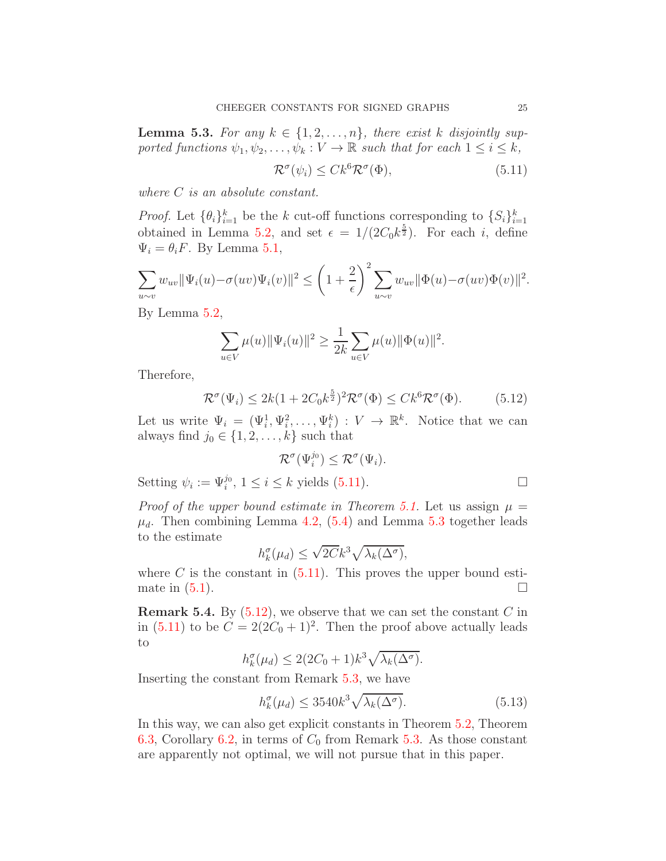<span id="page-24-1"></span>**Lemma 5.3.** For any  $k \in \{1, 2, ..., n\}$ , there exist k disjointly supported functions  $\psi_1, \psi_2, \dots, \psi_k : V \to \mathbb{R}$  such that for each  $1 \leq i \leq k$ ,

<span id="page-24-0"></span>
$$
\mathcal{R}^{\sigma}(\psi_i) \leq C k^6 \mathcal{R}^{\sigma}(\Phi),\tag{5.11}
$$

where *C* is an absolute constant.

*Proof.* Let  $\{\theta_i\}_{i=1}^k$  be the k cut-off functions corresponding to  $\{S_i\}_{i=1}^k$ obtained in Lemma [5.2,](#page-23-0) and set  $\epsilon = 1/(2C_0k^{\frac{5}{2}})$ . For each i, define  $\Psi_i = \theta_i F$ . By Lemma [5.1,](#page-22-0)

$$
\sum_{u \sim v} w_{uv} ||\Psi_i(u) - \sigma(uv)\Psi_i(v)||^2 \leq \left(1 + \frac{2}{\epsilon}\right)^2 \sum_{u \sim v} w_{uv} ||\Phi(u) - \sigma(uv)\Phi(v)||^2.
$$

By Lemma [5.2,](#page-23-0)

$$
\sum_{u \in V} \mu(u) \|\Psi_i(u)\|^2 \ge \frac{1}{2k} \sum_{u \in V} \mu(u) \|\Phi(u)\|^2.
$$

Therefore,

<span id="page-24-2"></span>
$$
\mathcal{R}^{\sigma}(\Psi_i) \le 2k(1 + 2C_0k^{\frac{5}{2}})^2 \mathcal{R}^{\sigma}(\Phi) \le Ck^6 \mathcal{R}^{\sigma}(\Phi).
$$
 (5.12)

Let us write  $\Psi_i = (\Psi_i^1, \Psi_i^2, \dots, \Psi_i^k) : V \to \mathbb{R}^k$ . Notice that we can always find  $j_0 \in \{1, 2, \ldots, k\}$  such that

$$
\mathcal{R}^{\sigma}(\Psi_i^{j_0}) \leq \mathcal{R}^{\sigma}(\Psi_i).
$$

Setting  $\psi_i := \Psi_i^{j_0}, 1 \leq i \leq k$  yields [\(5.11\)](#page-24-0).

Proof of the upper bound estimate in Theorem [5.1.](#page-19-2) Let us assign  $\mu =$  $\mu_d$ . Then combining Lemma [4.2,](#page-17-1) [\(5.4\)](#page-21-0) and Lemma [5.3](#page-24-1) together leads to the estimate

$$
h_k^{\sigma}(\mu_d) \le \sqrt{2C}k^3 \sqrt{\lambda_k(\Delta^{\sigma})},
$$

where C is the constant in  $(5.11)$ . This proves the upper bound estimate in  $(5.1)$ .

**Remark 5.4.** By  $(5.12)$ , we observe that we can set the constant C in in [\(5.11\)](#page-24-0) to be  $C = 2(2C_0 + 1)^2$ . Then the proof above actually leads to

$$
h_k^{\sigma}(\mu_d) \le 2(2C_0 + 1)k^3 \sqrt{\lambda_k(\Delta^{\sigma})}.
$$

Inserting the constant from Remark [5.3,](#page-23-1) we have

$$
h_k^{\sigma}(\mu_d) \le 3540k^3 \sqrt{\lambda_k(\Delta^{\sigma})}.
$$
\n(5.13)

In this way, we can also get explicit constants in Theorem [5.2,](#page-25-3) Theorem [6.3,](#page-33-0) Corollary [6.2,](#page-34-0) in terms of  $C_0$  from Remark [5.3.](#page-23-1) As those constant are apparently not optimal, we will not pursue that in this paper.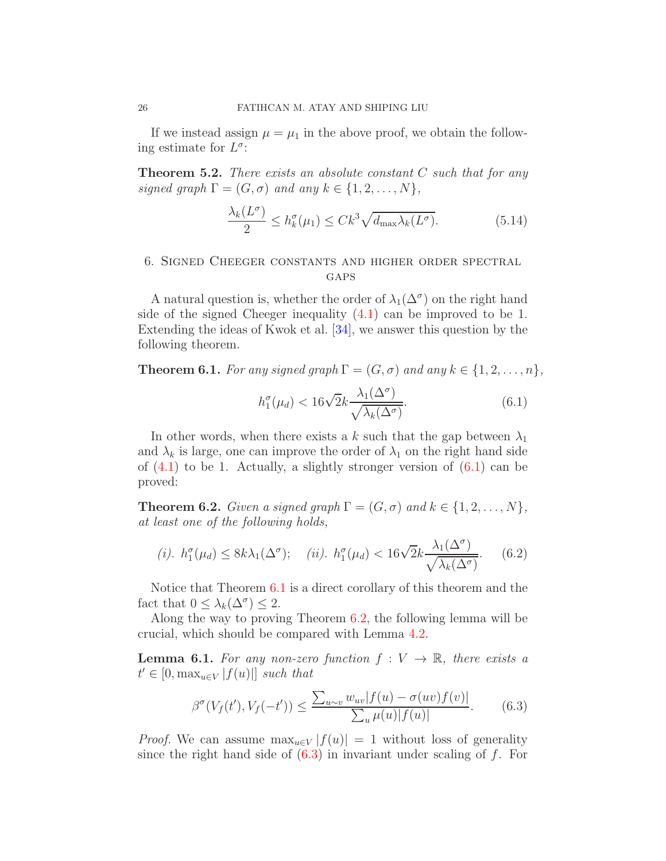If we instead assign  $\mu = \mu_1$  in the above proof, we obtain the following estimate for  $L^{\sigma}$ :

<span id="page-25-3"></span>**Theorem 5.2.** There exists an absolute constant  $C$  such that for any signed graph  $\Gamma = (G, \sigma)$  and any  $k \in \{1, 2, ..., N\},\$ 

$$
\frac{\lambda_k(L^{\sigma})}{2} \le h_k^{\sigma}(\mu_1) \le Ck^3 \sqrt{d_{\max} \lambda_k(L^{\sigma})}.
$$
 (5.14)

# <span id="page-25-0"></span>6. Signed Cheeger constants and higher order spectral **GAPS**

A natural question is, whether the order of  $\lambda_1(\Delta^{\sigma})$  on the right hand side of the signed Cheeger inequality [\(4.1\)](#page-15-3) can be improved to be 1. Extending the ideas of Kwok et al. [\[34\]](#page-41-2), we answer this question by the following theorem.

<span id="page-25-1"></span>**Theorem 6.1.** For any signed graph  $\Gamma = (G, \sigma)$  and any  $k \in \{1, 2, ..., n\}$ ,

<span id="page-25-4"></span>
$$
h_1^{\sigma}(\mu_d) < 16\sqrt{2k} \frac{\lambda_1(\Delta^{\sigma})}{\sqrt{\lambda_k(\Delta^{\sigma})}}.\tag{6.1}
$$

In other words, when there exists a k such that the gap between  $\lambda_1$ and  $\lambda_k$  is large, one can improve the order of  $\lambda_1$  on the right hand side of  $(4.1)$  to be 1. Actually, a slightly stronger version of  $(6.1)$  can be proved:

<span id="page-25-5"></span>**Theorem 6.2.** Given a signed graph  $\Gamma = (G, \sigma)$  and  $k \in \{1, 2, ..., N\}$ , at least one of the following holds,

(i). 
$$
h_1^{\sigma}(\mu_d) \le 8k\lambda_1(\Delta^{\sigma});
$$
 (ii).  $h_1^{\sigma}(\mu_d) < 16\sqrt{2k} \frac{\lambda_1(\Delta^{\sigma})}{\sqrt{\lambda_k(\Delta^{\sigma})}}$ . (6.2)

Notice that Theorem [6.1](#page-25-1) is a direct corollary of this theorem and the fact that  $0 \leq \lambda_k(\Delta^{\sigma}) \leq 2$ .

Along the way to proving Theorem [6.2,](#page-25-5) the following lemma will be crucial, which should be compared with Lemma [4.2.](#page-17-1)

<span id="page-25-2"></span>**Lemma 6.1.** For any non-zero function  $f: V \to \mathbb{R}$ , there exists a  $t' \in [0, \max_{u \in V} |f(u)|]$  such that

<span id="page-25-6"></span>
$$
\beta^{\sigma}(V_f(t'), V_f(-t')) \le \frac{\sum_{u \sim v} w_{uv} |f(u) - \sigma(uv) f(v)|}{\sum_u \mu(u) |f(u)|}.
$$
 (6.3)

*Proof.* We can assume  $\max_{u \in V} |f(u)| = 1$  without loss of generality since the right hand side of  $(6.3)$  in invariant under scaling of f. For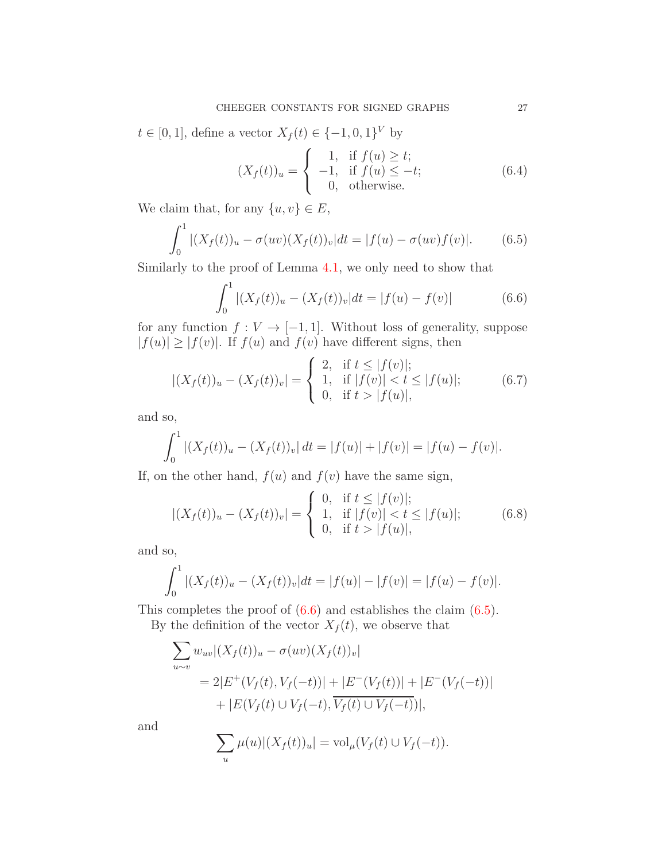$t \in [0, 1]$ , define a vector  $X_f(t) \in \{-1, 0, 1\}^V$  by

$$
(X_f(t))_u = \begin{cases} 1, & \text{if } f(u) \ge t; \\ -1, & \text{if } f(u) \le -t; \\ 0, & \text{otherwise.} \end{cases}
$$
 (6.4)

We claim that, for any  $\{u, v\} \in E$ ,

<span id="page-26-1"></span>
$$
\int_0^1 |(X_f(t))_u - \sigma(uv)(X_f(t))_v| dt = |f(u) - \sigma(uv)f(v)|.
$$
 (6.5)

Similarly to the proof of Lemma [4.1,](#page-16-2) we only need to show that

<span id="page-26-0"></span>
$$
\int_0^1 |(X_f(t))_u - (X_f(t))_v| dt = |f(u) - f(v)| \tag{6.6}
$$

for any function  $f: V \to [-1, 1]$ . Without loss of generality, suppose  $|f(u)| \ge |f(v)|$ . If  $f(u)$  and  $f(v)$  have different signs, then

$$
|(X_f(t))_u - (X_f(t))_v| = \begin{cases} 2, & \text{if } t \le |f(v)|; \\ 1, & \text{if } |f(v)| < t \le |f(u)|; \\ 0, & \text{if } t > |f(u)|, \end{cases}
$$
(6.7)

and so,

$$
\int_0^1 |(X_f(t))_u - (X_f(t))_v| \, dt = |f(u)| + |f(v)| = |f(u) - f(v)|.
$$

If, on the other hand,  $f(u)$  and  $f(v)$  have the same sign,

$$
|(X_f(t))_u - (X_f(t))_v| = \begin{cases} 0, & \text{if } t \le |f(v)|; \\ 1, & \text{if } |f(v)| < t \le |f(u)|; \\ 0, & \text{if } t > |f(u)|, \end{cases}
$$
(6.8)

and so,

$$
\int_0^1 |(X_f(t))_u - (X_f(t))_v| dt = |f(u)| - |f(v)| = |f(u) - f(v)|.
$$

This completes the proof of [\(6.6\)](#page-26-0) and establishes the claim [\(6.5\)](#page-26-1). By the definition of the vector  $X_f(t)$ , we observe that

$$
\sum_{u \sim v} w_{uv} |(X_f(t))_u - \sigma(uv)(X_f(t))_v|
$$
  
= 2|E^+(V\_f(t), V\_f(-t))| + |E^-(V\_f(t))| + |E^-(V\_f(-t))|  
+ |E(V\_f(t) \cup V\_f(-t), \overline{V\_f(t) \cup V\_f(-t)})|,

and

$$
\sum_{u} \mu(u) |(X_f(t))_u| = \text{vol}_{\mu}(V_f(t) \cup V_f(-t)).
$$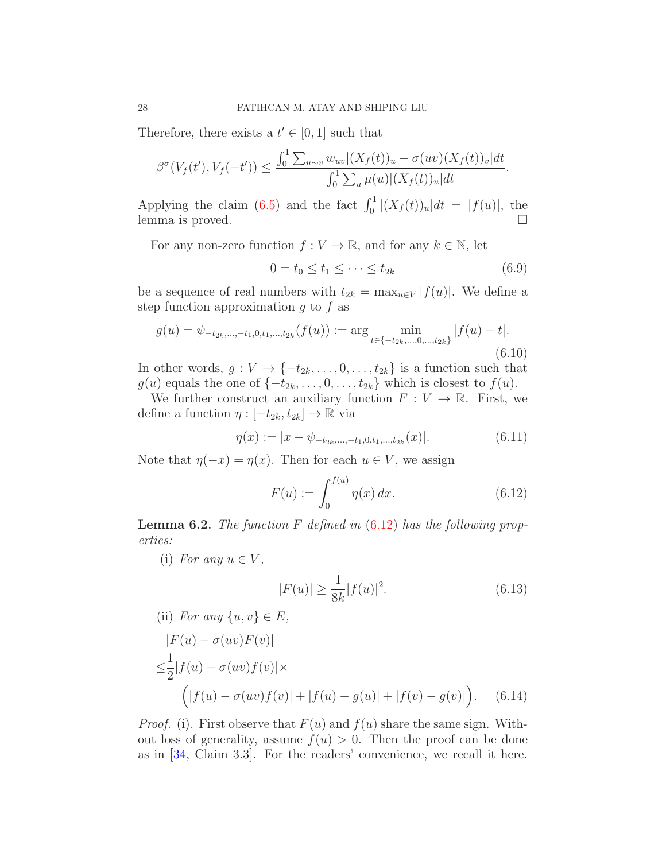Therefore, there exists a  $t' \in [0, 1]$  such that

$$
\beta^{\sigma}(V_f(t'), V_f(-t')) \leq \frac{\int_0^1 \sum_{u \sim v} w_{uv} |(X_f(t))_u - \sigma(uv)(X_f(t))_v| dt}{\int_0^1 \sum_u \mu(u) |(X_f(t))_u| dt}.
$$

Applying the claim [\(6.5\)](#page-26-1) and the fact  $\int_0^1 |(X_f(t))_u| dt = |f(u)|$ , the lemma is proved.  $\Box$ 

For any non-zero function  $f: V \to \mathbb{R}$ , and for any  $k \in \mathbb{N}$ , let

$$
0 = t_0 \le t_1 \le \dots \le t_{2k} \tag{6.9}
$$

be a sequence of real numbers with  $t_{2k} = \max_{u \in V} |f(u)|$ . We define a step function approximation  $g$  to  $f$  as

<span id="page-27-3"></span>
$$
g(u) = \psi_{-t_{2k},\dots,-t_1,0,t_1,\dots,t_{2k}}(f(u)) := \arg\min_{t \in \{-t_{2k},\dots,0,\dots,t_{2k}\}} |f(u) - t|.
$$
\n(6.10)

In other words,  $g: V \to \{-t_{2k}, \ldots, 0, \ldots, t_{2k}\}$  is a function such that  $g(u)$  equals the one of  $\{-t_{2k}, \ldots, 0, \ldots, t_{2k}\}\$  which is closest to  $f(u)$ .

We further construct an auxiliary function  $F: V \to \mathbb{R}$ . First, we define a function  $\eta : [-t_{2k}, t_{2k}] \rightarrow \mathbb{R}$  via

$$
\eta(x) := |x - \psi_{-t_{2k}, \dots, -t_1, 0, t_1, \dots, t_{2k}}(x)|.
$$
\n(6.11)

Note that  $\eta(-x) = \eta(x)$ . Then for each  $u \in V$ , we assign

<span id="page-27-1"></span>
$$
F(u) := \int_0^{f(u)} \eta(x) \, dx. \tag{6.12}
$$

<span id="page-27-0"></span>**Lemma 6.2.** The function  $F$  defined in  $(6.12)$  has the following properties:

(i) For any  $u \in V$ ,

<span id="page-27-2"></span>
$$
|F(u)| \ge \frac{1}{8k}|f(u)|^2.
$$
\n(6.13)

(ii) For any 
$$
\{u, v\} \in E
$$
,  
\n
$$
|F(u) - \sigma(uv)F(v)|
$$
\n
$$
\leq \frac{1}{2}|f(u) - \sigma(uv)f(v)| \times
$$
\n
$$
f(x) - \sigma(uv)f(v)| + |f(x) - \sigma(v)| + |f(x) - \sigma(v)|
$$
\n(6.14)

$$
\Big(|f(u) - \sigma(uv)f(v)| + |f(u) - g(u)| + |f(v) - g(v)|\Big).
$$
 (6.14)  
*Proof.* (i). First observe that  $F(u)$  and  $f(u)$  share the same sign. With-

out loss of generality, assume  $f(u) > 0$ . Then the proof can be done as in [\[34,](#page-41-2) Claim 3.3]. For the readers' convenience, we recall it here.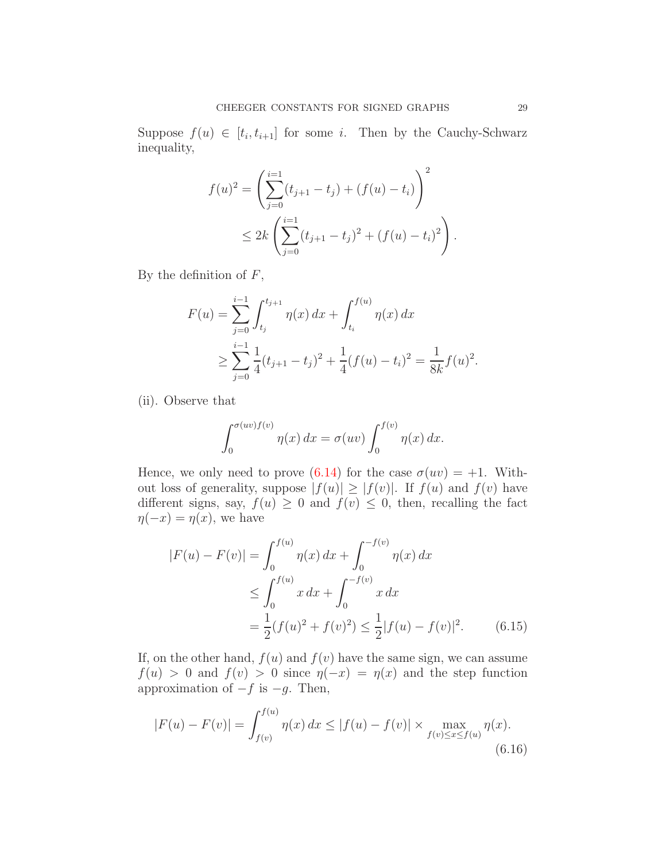Suppose  $f(u) \in [t_i, t_{i+1}]$  for some *i*. Then by the Cauchy-Schwarz inequality,

$$
f(u)^{2} = \left(\sum_{j=0}^{i=1} (t_{j+1} - t_{j}) + (f(u) - t_{i})\right)^{2}
$$
  
 
$$
\leq 2k \left(\sum_{j=0}^{i=1} (t_{j+1} - t_{j})^{2} + (f(u) - t_{i})^{2}\right).
$$

By the definition of  $F$ ,

$$
F(u) = \sum_{j=0}^{i-1} \int_{t_j}^{t_{j+1}} \eta(x) dx + \int_{t_i}^{f(u)} \eta(x) dx
$$
  
 
$$
\geq \sum_{j=0}^{i-1} \frac{1}{4} (t_{j+1} - t_j)^2 + \frac{1}{4} (f(u) - t_i)^2 = \frac{1}{8k} f(u)^2.
$$

(ii). Observe that

<span id="page-28-0"></span>
$$
\int_0^{\sigma(uv)f(v)} \eta(x) dx = \sigma(uv) \int_0^{f(v)} \eta(x) dx.
$$

Hence, we only need to prove [\(6.14\)](#page-27-2) for the case  $\sigma(uv) = +1$ . Without loss of generality, suppose  $|f(u)| \geq |f(v)|$ . If  $f(u)$  and  $f(v)$  have different signs, say,  $f(u) \geq 0$  and  $f(v) \leq 0$ , then, recalling the fact  $\eta(-x) = \eta(x)$ , we have

$$
|F(u) - F(v)| = \int_0^{f(u)} \eta(x) dx + \int_0^{-f(v)} \eta(x) dx
$$
  
\n
$$
\leq \int_0^{f(u)} x dx + \int_0^{-f(v)} x dx
$$
  
\n
$$
= \frac{1}{2} (f(u)^2 + f(v)^2) \leq \frac{1}{2} |f(u) - f(v)|^2.
$$
 (6.15)

If, on the other hand,  $f(u)$  and  $f(v)$  have the same sign, we can assume  $f(u) > 0$  and  $f(v) > 0$  since  $\eta(-x) = \eta(x)$  and the step function approximation of  $-f$  is  $-g$ . Then,

<span id="page-28-1"></span>
$$
|F(u) - F(v)| = \int_{f(v)}^{f(u)} \eta(x) dx \le |f(u) - f(v)| \times \max_{f(v) \le x \le f(u)} \eta(x).
$$
\n(6.16)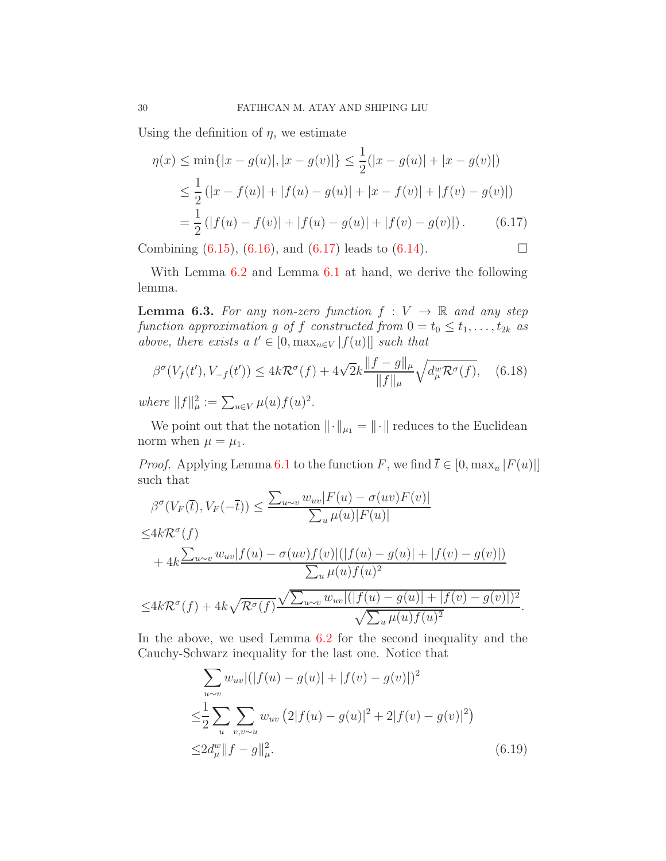Using the definition of  $\eta$ , we estimate

<span id="page-29-0"></span>
$$
\eta(x) \le \min\{|x - g(u)|, |x - g(v)|\} \le \frac{1}{2}(|x - g(u)| + |x - g(v)|)
$$
  
\n
$$
\le \frac{1}{2} (|x - f(u)| + |f(u) - g(u)| + |x - f(v)| + |f(v) - g(v)|)
$$
  
\n
$$
= \frac{1}{2} (|f(u) - f(v)| + |f(u) - g(u)| + |f(v) - g(v)|). \tag{6.17}
$$

Combining  $(6.15)$ ,  $(6.16)$ , and  $(6.17)$  leads to  $(6.14)$ .

With Lemma  $6.2$  and Lemma  $6.1$  at hand, we derive the following lemma.

<span id="page-29-2"></span>**Lemma 6.3.** For any non-zero function  $f: V \to \mathbb{R}$  and any step function approximation g of f constructed from  $0 = t_0 \leq t_1, \ldots, t_{2k}$  as above, there exists a  $t' \in [0, \max_{u \in V} |f(u)|]$  such that

$$
\beta^{\sigma}(V_f(t'), V_{-f}(t')) \le 4k\mathcal{R}^{\sigma}(f) + 4\sqrt{2}k \frac{\|f - g\|_{\mu}}{\|f\|_{\mu}} \sqrt{d_{\mu}^w \mathcal{R}^{\sigma}(f)}, \quad (6.18)
$$

where  $||f||_{\mu}^2 := \sum_{u \in V} \mu(u) f(u)^2$ .

We point out that the notation  $\|\cdot\|_{\mu_1} = \|\cdot\|$  reduces to the Euclidean norm when  $\mu = \mu_1$ .

*Proof.* Applying Lemma [6.1](#page-25-2) to the function F, we find  $\overline{t} \in [0, \max_u |F(u)|]$ such that  $\mathbb{F}(\mathbb{Z}) = (\mathbb{Z} \setminus \mathbb{F}(\mathbb{Z}))$ 

$$
\beta^{\sigma}(V_F(\overline{t}), V_F(-\overline{t})) \le \frac{\sum_{u \sim v} w_{uv} |F(u) - \sigma(uv) F(v)|}{\sum_u \mu(u) |F(u)|}
$$
  

$$
\le 4k \mathcal{R}^{\sigma}(f)
$$
  
+  $4k \frac{\sum_{u \sim v} w_{uv} |f(u) - \sigma(uv) f(v)| (|f(u) - g(u)| + |f(v) - g(v)|)}{\sum_u \mu(u) f(u)^2}$   

$$
\le 4k \mathcal{R}^{\sigma}(f) + 4k \sqrt{\mathcal{R}^{\sigma}(f)} \frac{\sqrt{\sum_{u \sim v} w_{uv} |(|f(u) - g(u)| + |f(v) - g(v)|)^2}}{\sqrt{\sum_u \mu(u) f(u)^2}}
$$

In the above, we used Lemma [6.2](#page-27-0) for the second inequality and the Cauchy-Schwarz inequality for the last one. Notice that

$$
\sum_{u \sim v} w_{uv} |(|f(u) - g(u)| + |f(v) - g(v)|)^2
$$
  
\n
$$
\leq \frac{1}{2} \sum_{u} \sum_{v,v \sim u} w_{uv} (2|f(u) - g(u)|^2 + 2|f(v) - g(v)|^2)
$$
  
\n
$$
\leq 2d_{\mu}^{w} ||f - g||_{\mu}^{2}.
$$
\n(6.19)

<span id="page-29-1"></span>.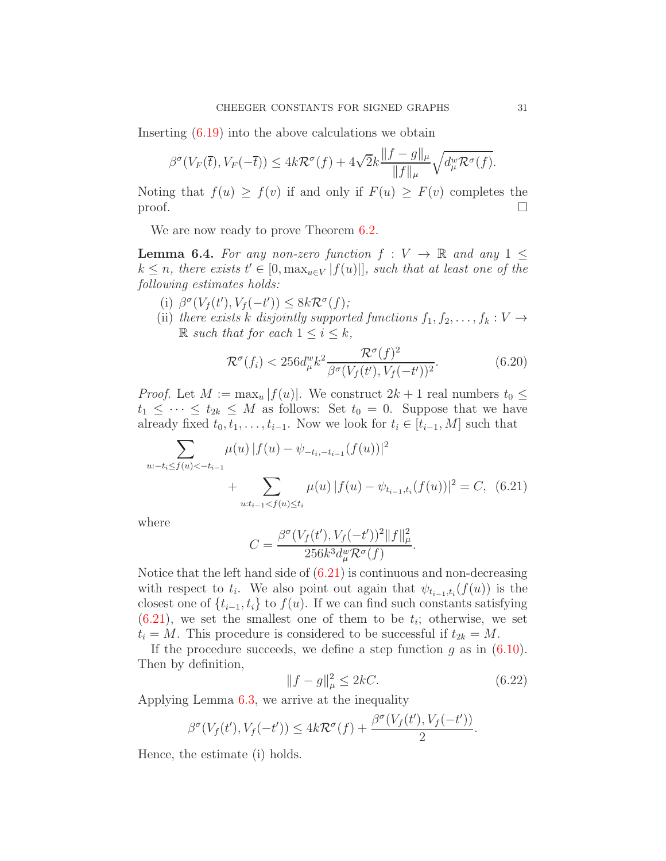Inserting [\(6.19\)](#page-29-1) into the above calculations we obtain

$$
\beta^{\sigma}(V_F(\overline{t}), V_F(-\overline{t})) \leq 4k\mathcal{R}^{\sigma}(f) + 4\sqrt{2k} \frac{\|f - g\|_{\mu}}{\|f\|_{\mu}} \sqrt{d_{\mu}^w \mathcal{R}^{\sigma}(f)}.
$$

Noting that  $f(u) \ge f(v)$  if and only if  $F(u) \ge F(v)$  completes the proof. proof.  $\Box$ 

We are now ready to prove Theorem  $6.2$ .

<span id="page-30-1"></span>**Lemma 6.4.** For any non-zero function  $f: V \to \mathbb{R}$  and any 1 <  $k \leq n$ , there exists  $t' \in [0, \max_{u \in V} |f(u)|]$ , such that at least one of the following estimates holds:

- (i)  $\beta^{\sigma}(V_f(t'), V_f(-t')) \leq 8k\mathcal{R}^{\sigma}(f);$
- (ii) there exists k disjointly supported functions  $f_1, f_2, \ldots, f_k : V \to$  $\mathbb R$  such that for each  $1 \leq i \leq k$ ,

$$
\mathcal{R}^{\sigma}(f_i) < 256d_{\mu}^{\omega} k^2 \frac{\mathcal{R}^{\sigma}(f)^2}{\beta^{\sigma}(V_f(t'), V_f(-t'))^2}.\tag{6.20}
$$

*Proof.* Let  $M := \max_u |f(u)|$ . We construct  $2k + 1$  real numbers  $t_0 \leq$  $t_1 \leq \cdots \leq t_{2k} \leq M$  as follows: Set  $t_0 = 0$ . Suppose that we have already fixed  $t_0, t_1, \ldots, t_{i-1}$ . Now we look for  $t_i \in [t_{i-1}, M]$  such that

$$
\sum_{u:=t_i \le f(u) < -t_{i-1}} \mu(u) |f(u) - \psi_{-t_i, -t_{i-1}}(f(u))|^2 + \sum_{u:t_{i-1} < f(u) \le t_i} \mu(u) |f(u) - \psi_{t_{i-1}, t_i}(f(u))|^2 = C, \tag{6.21}
$$

where

<span id="page-30-0"></span>
$$
C = \frac{\beta^{\sigma}(V_f(t'), V_f(-t'))^2 ||f||_{\mu}^2}{256k^3 d_{\mu}^w \mathcal{R}^{\sigma}(f)}.
$$

Notice that the left hand side of  $(6.21)$  is continuous and non-decreasing with respect to  $t_i$ . We also point out again that  $\psi_{t_{i-1},t_i}(f(u))$  is the closest one of  $\{t_{i-1}, t_i\}$  to  $f(u)$ . If we can find such constants satisfying  $(6.21)$ , we set the smallest one of them to be  $t_i$ ; otherwise, we set  $t_i = M$ . This procedure is considered to be successful if  $t_{2k} = M$ .

If the procedure succeeds, we define a step function  $g$  as in  $(6.10)$ . Then by definition,

$$
||f - g||_{\mu}^{2} \leq 2kC.
$$
 (6.22)

Applying Lemma [6.3,](#page-29-2) we arrive at the inequality

$$
\beta^{\sigma}(V_f(t'), V_f(-t')) \leq 4k\mathcal{R}^{\sigma}(f) + \frac{\beta^{\sigma}(V_f(t'), V_f(-t'))}{2}.
$$

Hence, the estimate (i) holds.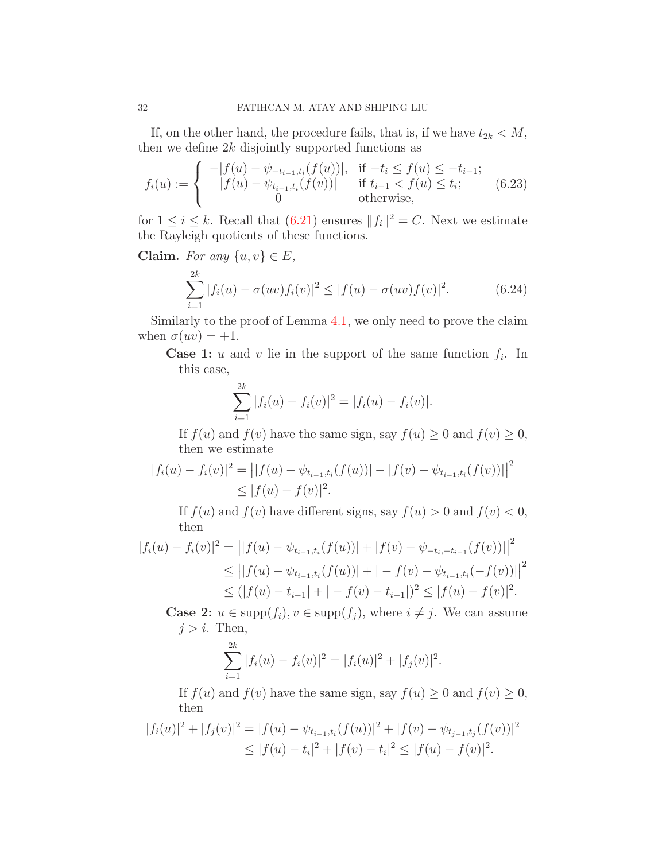If, on the other hand, the procedure fails, that is, if we have  $t_{2k} < M$ , then we define  $2k$  disjointly supported functions as

<span id="page-31-0"></span>
$$
f_i(u) := \begin{cases} -|f(u) - \psi_{-t_{i-1}, t_i}(f(u))|, & \text{if } -t_i \le f(u) \le -t_{i-1};\\ |f(u) - \psi_{t_{i-1}, t_i}(f(v))| & \text{if } t_{i-1} < f(u) \le t_i;\\ 0 & \text{otherwise}, \end{cases} \tag{6.23}
$$

for  $1 \leq i \leq k$ . Recall that  $(6.21)$  ensures  $||f_i||^2 = C$ . Next we estimate the Rayleigh quotients of these functions.

Claim. For any  $\{u, v\} \in E$ ,

$$
\sum_{i=1}^{2k} |f_i(u) - \sigma(uv)f_i(v)|^2 \le |f(u) - \sigma(uv)f(v)|^2.
$$
 (6.24)

Similarly to the proof of Lemma [4.1,](#page-16-2) we only need to prove the claim when  $\sigma(uv) = +1$ .

**Case 1:** u and v lie in the support of the same function  $f_i$ . In this case,

$$
\sum_{i=1}^{2k} |f_i(u) - f_i(v)|^2 = |f_i(u) - f_i(v)|.
$$

If  $f(u)$  and  $f(v)$  have the same sign, say  $f(u) \geq 0$  and  $f(v) \geq 0$ , then we estimate

$$
|f_i(u) - f_i(v)|^2 = ||f(u) - \psi_{t_{i-1}, t_i}(f(u))| - |f(v) - \psi_{t_{i-1}, t_i}(f(v))||^2
$$
  
\n
$$
\leq |f(u) - f(v)|^2.
$$

If  $f(u)$  and  $f(v)$  have different signs, say  $f(u) > 0$  and  $f(v) < 0$ , then

$$
|f_i(u) - f_i(v)|^2 = ||f(u) - \psi_{t_{i-1},t_i}(f(u))| + |f(v) - \psi_{-t_{i},-t_{i-1}}(f(v))||^2
$$
  
\n
$$
\leq ||f(u) - \psi_{t_{i-1},t_i}(f(u))| + |-f(v) - \psi_{t_{i-1},t_i}(-f(v))||^2
$$
  
\n
$$
\leq (|f(u) - t_{i-1}| + |-f(v) - t_{i-1}|)^2 \leq |f(u) - f(v)|^2.
$$

**Case 2:**  $u \in \text{supp}(f_i)$ ,  $v \in \text{supp}(f_j)$ , where  $i \neq j$ . We can assume  $j > i$ . Then,

$$
\sum_{i=1}^{2k} |f_i(u) - f_i(v)|^2 = |f_i(u)|^2 + |f_j(v)|^2.
$$

If  $f(u)$  and  $f(v)$  have the same sign, say  $f(u) \geq 0$  and  $f(v) \geq 0$ , then

$$
|f_i(u)|^2 + |f_j(v)|^2 = |f(u) - \psi_{t_{i-1},t_i}(f(u))|^2 + |f(v) - \psi_{t_{j-1},t_j}(f(v))|^2
$$
  
\n
$$
\leq |f(u) - t_i|^2 + |f(v) - t_i|^2 \leq |f(u) - f(v)|^2.
$$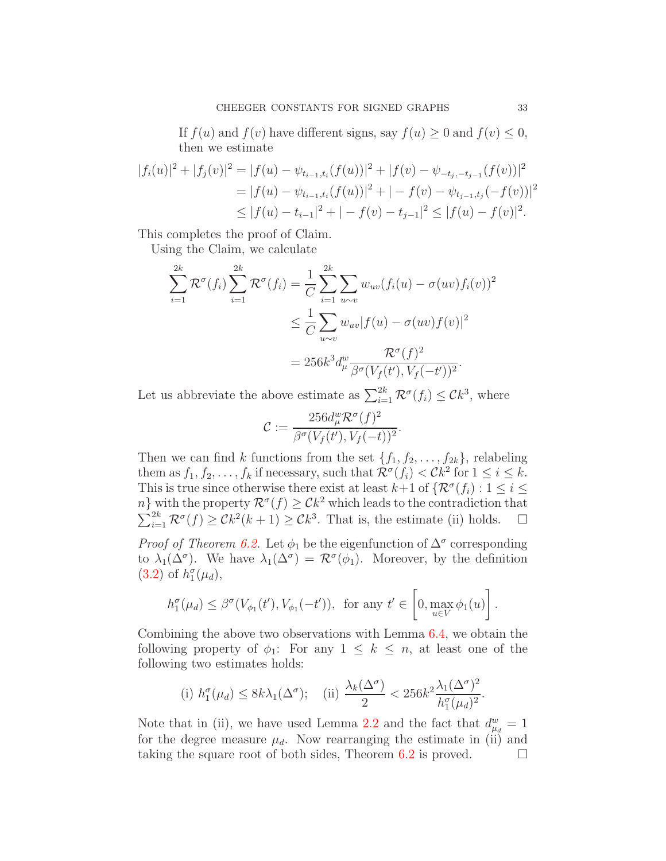If  $f(u)$  and  $f(v)$  have different signs, say  $f(u) \geq 0$  and  $f(v) \leq 0$ , then we estimate

$$
|f_i(u)|^2 + |f_j(v)|^2 = |f(u) - \psi_{t_{i-1},t_i}(f(u))|^2 + |f(v) - \psi_{-t_j,-t_{j-1}}(f(v))|^2
$$
  
= 
$$
|f(u) - \psi_{t_{i-1},t_i}(f(u))|^2 + |-f(v) - \psi_{t_{j-1},t_j}(-f(v))|^2
$$
  

$$
\leq |f(u) - t_{i-1}|^2 + |-f(v) - t_{j-1}|^2 \leq |f(u) - f(v)|^2.
$$

This completes the proof of Claim.

Using the Claim, we calculate

$$
\sum_{i=1}^{2k} \mathcal{R}^{\sigma}(f_i) \sum_{i=1}^{2k} \mathcal{R}^{\sigma}(f_i) = \frac{1}{C} \sum_{i=1}^{2k} \sum_{u \sim v} w_{uv} (f_i(u) - \sigma(uv) f_i(v))^2
$$
  

$$
\leq \frac{1}{C} \sum_{u \sim v} w_{uv} |f(u) - \sigma(uv) f(v)|^2
$$
  

$$
= 256k^3 d_{\mu}^w \frac{\mathcal{R}^{\sigma}(f)^2}{\beta^{\sigma}(V_f(t'), V_f(-t'))^2}.
$$

Let us abbreviate the above estimate as  $\sum_{i=1}^{2k} \mathcal{R}^{\sigma}(f_i) \leq Ck^3$ , where

$$
\mathcal{C}:=\frac{256d^w_{\mu}\mathcal{R}^\sigma(f)^2}{\beta^\sigma(V_f(t'),V_f(-t))^2}.
$$

Then we can find k functions from the set  $\{f_1, f_2, \ldots, f_{2k}\}$ , relabeling them as  $f_1, f_2, \ldots, f_k$  if necessary, such that  $\mathcal{R}^{\sigma}(f_i) < Ck^2$  for  $1 \leq i \leq k$ . This is true since otherwise there exist at least  $k+1$  of  $\{\mathcal{R}^{\sigma}(f_i): 1 \leq i \leq k\}$  $n\}$  with the property  $\mathcal{R}^{\sigma}(f) \geq \mathcal{C}k^2$  which leads to the contradiction that  $\sum_{i=1}^{2k} \mathcal{R}^{\sigma}(f) \geq \mathcal{C}k^2(k+1) \geq \mathcal{C}k^3$ . That is, the estimate (ii) holds.  $\square$ 

*Proof of Theorem [6.2.](#page-25-5)* Let  $\phi_1$  be the eigenfunction of  $\Delta^{\sigma}$  corresponding to  $\lambda_1(\Delta^{\sigma})$ . We have  $\lambda_1(\Delta^{\sigma}) = \mathcal{R}^{\sigma}(\phi_1)$ . Moreover, by the definition  $(3.2)$  of  $h_1^{\sigma}(\mu_d)$ ,

$$
h_1^{\sigma}(\mu_d) \leq \beta^{\sigma}(V_{\phi_1}(t'), V_{\phi_1}(-t')), \text{ for any } t' \in \left[0, \max_{u \in V} \phi_1(u)\right].
$$

Combining the above two observations with Lemma [6.4,](#page-30-1) we obtain the following property of  $\phi_1$ : For any  $1 \leq k \leq n$ , at least one of the following two estimates holds:

(i) 
$$
h_1^{\sigma}(\mu_d) \leq 8k\lambda_1(\Delta^{\sigma});
$$
 (ii)  $\frac{\lambda_k(\Delta^{\sigma})}{2} < 256k^2 \frac{\lambda_1(\Delta^{\sigma})^2}{h_1^{\sigma}(\mu_d)^2}.$ 

Note that in (ii), we have used Lemma [2.2](#page-7-2) and the fact that  $d_{\mu_d}^w = 1$ for the degree measure  $\mu_d$ . Now rearranging the estimate in (ii) and taking the square root of both sides, Theorem [6.2](#page-25-5) is proved.  $\Box$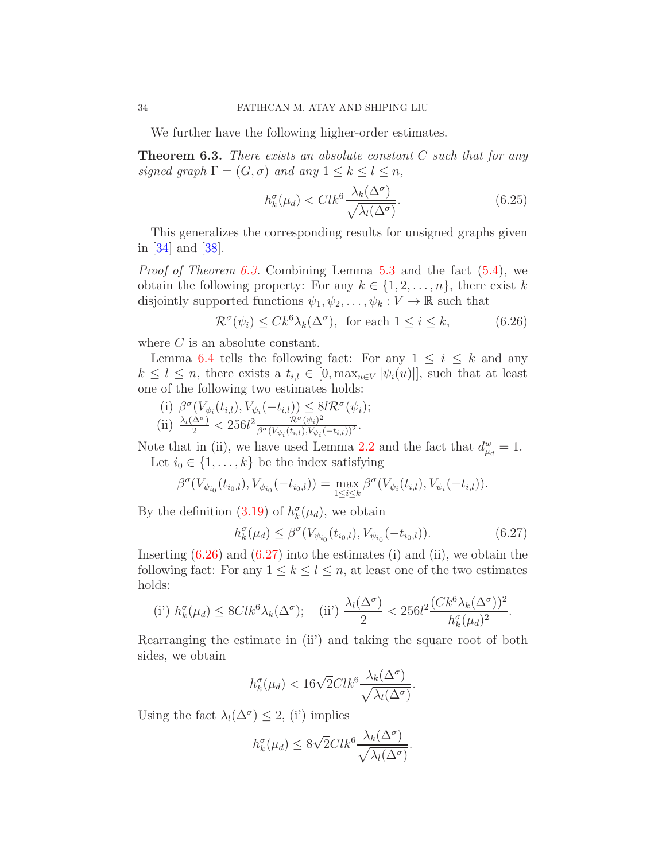We further have the following higher-order estimates.

<span id="page-33-0"></span>**Theorem 6.3.** There exists an absolute constant  $C$  such that for any signed graph  $\Gamma = (G, \sigma)$  and any  $1 \leq k \leq l \leq n$ ,

$$
h_k^{\sigma}(\mu_d) < Clk^6 \frac{\lambda_k(\Delta^{\sigma})}{\sqrt{\lambda_l(\Delta^{\sigma})}}.\tag{6.25}
$$

This generalizes the corresponding results for unsigned graphs given in [\[34\]](#page-41-2) and [\[38\]](#page-41-1).

*Proof of Theorem [6.3.](#page-33-0)* Combining Lemma [5.3](#page-24-1) and the fact  $(5.4)$ , we obtain the following property: For any  $k \in \{1, 2, ..., n\}$ , there exist k disjointly supported functions  $\psi_1, \psi_2, \ldots, \psi_k : V \to \mathbb{R}$  such that

<span id="page-33-1"></span>
$$
\mathcal{R}^{\sigma}(\psi_i) \le C k^6 \lambda_k(\Delta^{\sigma}), \text{ for each } 1 \le i \le k,
$$
 (6.26)

where  $C$  is an absolute constant.

Lemma [6.4](#page-30-1) tells the following fact: For any  $1 \leq i \leq k$  and any  $k \leq l \leq n$ , there exists a  $t_{i,l} \in [0, \max_{u \in V} |\psi_i(u)|]$ , such that at least one of the following two estimates holds:

(i) 
$$
\beta^{\sigma}(V_{\psi_i}(t_{i,l}), V_{\psi_i}(-t_{i,l})) \leq 8l\mathcal{R}^{\sigma}(\psi_i);
$$
  
\n(ii)  $\frac{\lambda_l(\Delta^{\sigma})}{2} < 256l^2 \frac{\mathcal{R}^{\sigma}(\psi_i)^2}{\beta^{\sigma}(V_{\psi_i}(t_{i,l}), V_{\psi_i}(-t_{i,l}))^2}.$ 

Note that in (ii), we have used Lemma [2.2](#page-7-2) and the fact that  $d_{\mu_d}^w = 1$ . Let  $i_0 \in \{1, \ldots, k\}$  be the index satisfying

$$
\beta^{\sigma}(V_{\psi_{i_0}}(t_{i_0,l}), V_{\psi_{i_0}}(-t_{i_0,l})) = \max_{1 \leq i \leq k} \beta^{\sigma}(V_{\psi_i}(t_{i,l}), V_{\psi_i}(-t_{i,l})).
$$

By the definition [\(3.19\)](#page-14-2) of  $h_k^{\sigma}(\mu_d)$ , we obtain

<span id="page-33-2"></span>
$$
h_k^{\sigma}(\mu_d) \le \beta^{\sigma}(V_{\psi_{i_0}}(t_{i_0,l}), V_{\psi_{i_0}}(-t_{i_0,l})).
$$
\n(6.27)

Inserting  $(6.26)$  and  $(6.27)$  into the estimates (i) and (ii), we obtain the following fact: For any  $1 \leq k \leq l \leq n$ , at least one of the two estimates holds:

(i') 
$$
h_k^{\sigma}(\mu_d) \leq 8Clk^6 \lambda_k(\Delta^{\sigma});
$$
 (ii')  $\frac{\lambda_l(\Delta^{\sigma})}{2} < 256l^2 \frac{(Ck^6 \lambda_k(\Delta^{\sigma}))^2}{h_k^{\sigma}(\mu_d)^2}.$ 

Rearranging the estimate in (ii') and taking the square root of both sides, we obtain

$$
h_k^{\sigma}(\mu_d) < 16\sqrt{2}Clk^6 \frac{\lambda_k(\Delta^{\sigma})}{\sqrt{\lambda_l(\Delta^{\sigma})}}.
$$

Using the fact  $\lambda_l(\Delta^{\sigma}) \leq 2$ , (i') implies

$$
h_k^{\sigma}(\mu_d) \le 8\sqrt{2}Clk^6 \frac{\lambda_k(\Delta^{\sigma})}{\sqrt{\lambda_l(\Delta^{\sigma})}}.
$$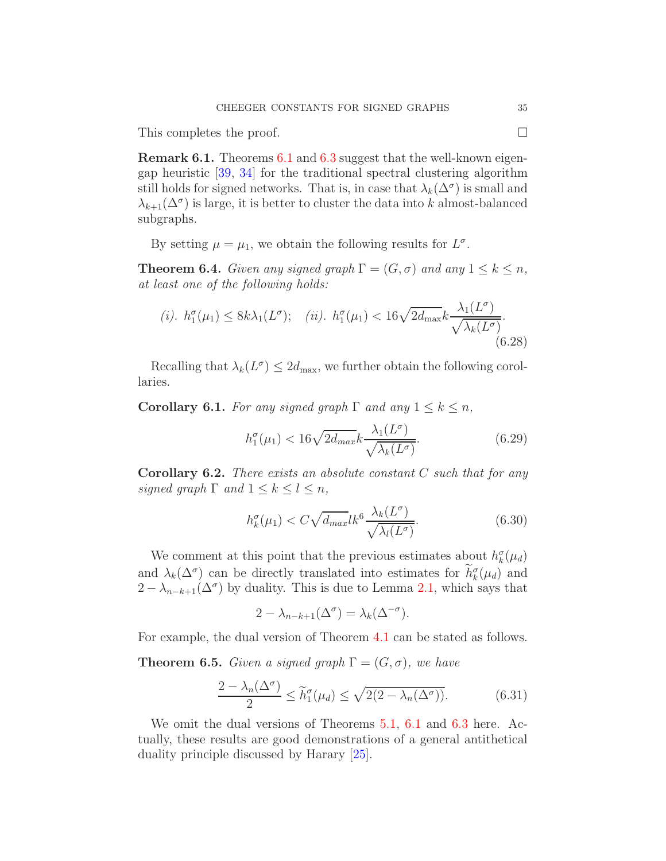This completes the proof.

Remark 6.1. Theorems [6.1](#page-25-1) and [6.3](#page-33-0) suggest that the well-known eigengap heuristic [\[39,](#page-41-9) [34\]](#page-41-2) for the traditional spectral clustering algorithm still holds for signed networks. That is, in case that  $\lambda_k(\Delta^{\sigma})$  is small and  $\lambda_{k+1}(\Delta^{\sigma})$  is large, it is better to cluster the data into k almost-balanced subgraphs.

By setting  $\mu = \mu_1$ , we obtain the following results for  $L^{\sigma}$ .

**Theorem 6.4.** Given any signed graph  $\Gamma = (G, \sigma)$  and any  $1 \leq k \leq n$ , at least one of the following holds:

(i). 
$$
h_1^{\sigma}(\mu_1) \leq 8k\lambda_1(L^{\sigma});
$$
 (ii).  $h_1^{\sigma}(\mu_1) < 16\sqrt{2d_{\max}}k \frac{\lambda_1(L^{\sigma})}{\sqrt{\lambda_k(L^{\sigma})}}.$  (6.28)

Recalling that  $\lambda_k(L^{\sigma}) \leq 2d_{\max}$ , we further obtain the following corollaries.

**Corollary 6.1.** For any signed graph  $\Gamma$  and any  $1 \leq k \leq n$ ,

$$
h_1^{\sigma}(\mu_1) < 16\sqrt{2d_{max}}k \frac{\lambda_1(L^{\sigma})}{\sqrt{\lambda_k(L^{\sigma})}}.\tag{6.29}
$$

<span id="page-34-0"></span>**Corollary 6.2.** There exists an absolute constant  $C$  such that for any signed graph  $\Gamma$  and  $1 \leq k \leq l \leq n$ ,

$$
h_k^{\sigma}(\mu_1) < C\sqrt{d_{max}}lk^6 \frac{\lambda_k(L^{\sigma})}{\sqrt{\lambda_l(L^{\sigma})}}.\tag{6.30}
$$

We comment at this point that the previous estimates about  $h_k^{\sigma}(\mu_d)$ and  $\lambda_k(\Delta^{\sigma})$  can be directly translated into estimates for  $h_k^{\sigma}(\mu_d)$  and  $2 - \lambda_{n-k+1}(\Delta^{\sigma})$  by duality. This is due to Lemma [2.1,](#page-7-3) which says that

$$
2 - \lambda_{n-k+1}(\Delta^{\sigma}) = \lambda_k(\Delta^{-\sigma}).
$$

For example, the dual version of Theorem [4.1](#page-15-1) can be stated as follows.

**Theorem 6.5.** Given a signed graph  $\Gamma = (G, \sigma)$ , we have

$$
\frac{2 - \lambda_n(\Delta^{\sigma})}{2} \le \widetilde{h}_1^{\sigma}(\mu_d) \le \sqrt{2(2 - \lambda_n(\Delta^{\sigma}))}.
$$
 (6.31)

We omit the dual versions of Theorems [5.1,](#page-19-2) [6.1](#page-25-1) and [6.3](#page-33-0) here. Actually, these results are good demonstrations of a general antithetical duality principle discussed by Harary [\[25\]](#page-41-4).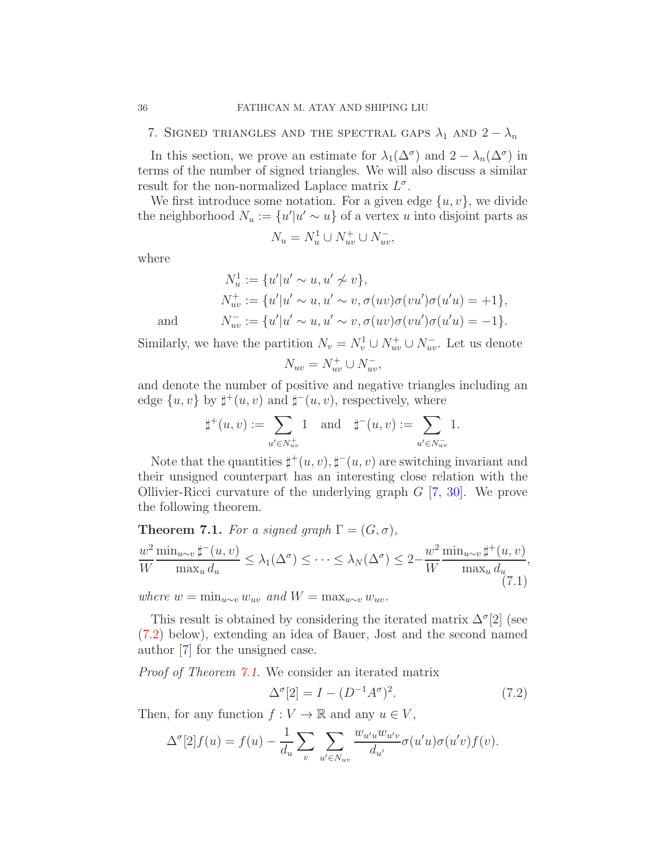<span id="page-35-0"></span>7. SIGNED TRIANGLES AND THE SPECTRAL GAPS  $\lambda_1$  AND  $2 - \lambda_n$ 

In this section, we prove an estimate for  $\lambda_1(\Delta^{\sigma})$  and  $2 - \lambda_n(\Delta^{\sigma})$  in terms of the number of signed triangles. We will also discuss a similar result for the non-normalized Laplace matrix  $L^{\sigma}$ .

We first introduce some notation. For a given edge  $\{u, v\}$ , we divide the neighborhood  $N_u := \{u'|u' \sim u\}$  of a vertex u into disjoint parts as

$$
N_u = N_u^1 \cup N_{uv}^+ \cup N_{uv}^-
$$

where

$$
N_u^1 := \{u'|u' \sim u, u' \not\sim v\},
$$
  
\n
$$
N_{uv}^+ := \{u'|u' \sim u, u' \sim v, \sigma(uv)\sigma(vu')\sigma(u'u) = +1\},
$$
  
\n
$$
N_{uv}^- := \{u'|u' \sim u, u' \sim v, \sigma(uv)\sigma(vu')\sigma(u'u) = -1\}.
$$

and

Similarly, we have the partition  $N_v = N_v^1 \cup N_{uv}^+ \cup N_{uv}^-$ . Let us denote

$$
N_{uv} = N_{uv}^+ \cup N_{uv}^-
$$

and denote the number of positive and negative triangles including an edge  $\{u, v\}$  by  $\sharp^+(u, v)$  and  $\sharp^-(u, v)$ , respectively, where

$$
\sharp^+(u,v) := \sum_{u' \in N_{uv}^+} 1 \text{ and } \sharp^-(u,v) := \sum_{u' \in N_{uv}^-} 1.
$$

Note that the quantities  $\sharp^+(u, v), \sharp^-(u, v)$  are switching invariant and their unsigned counterpart has an interesting close relation with the Ollivier-Ricci curvature of the underlying graph  $G$  [\[7,](#page-40-18) [30\]](#page-41-18). We prove the following theorem.

<span id="page-35-2"></span>**Theorem 7.1.** For a signed graph  $\Gamma = (G, \sigma)$ ,

$$
\frac{w^2}{W} \frac{\min_{u \sim v} \sharp^{-}(u, v)}{\max_u d_u} \le \lambda_1(\Delta^{\sigma}) \le \dots \le \lambda_N(\Delta^{\sigma}) \le 2 - \frac{w^2}{W} \frac{\min_{u \sim v} \sharp^{+}(u, v)}{\max_u d_u},\tag{7.1}
$$

where  $w = \min_{u \sim v} w_{uv}$  and  $W = \max_{u \sim v} w_{uv}$ .

This result is obtained by considering the iterated matrix  $\Delta^{\sigma}[2]$  (see [\(7.2\)](#page-35-1) below), extending an idea of Bauer, Jost and the second named author [\[7\]](#page-40-18) for the unsigned case.

Proof of Theorem [7.1.](#page-35-2) We consider an iterated matrix

<span id="page-35-1"></span>
$$
\Delta^{\sigma}[2] = I - (D^{-1}A^{\sigma})^2. \tag{7.2}
$$

Then, for any function  $f: V \to \mathbb{R}$  and any  $u \in V$ ,

$$
\Delta^{\sigma}[2]f(u) = f(u) - \frac{1}{d_u} \sum_v \sum_{u' \in N_{uv}} \frac{w_{u'u}w_{u'v}}{d_{u'}} \sigma(u'u)\sigma(u'v)f(v).
$$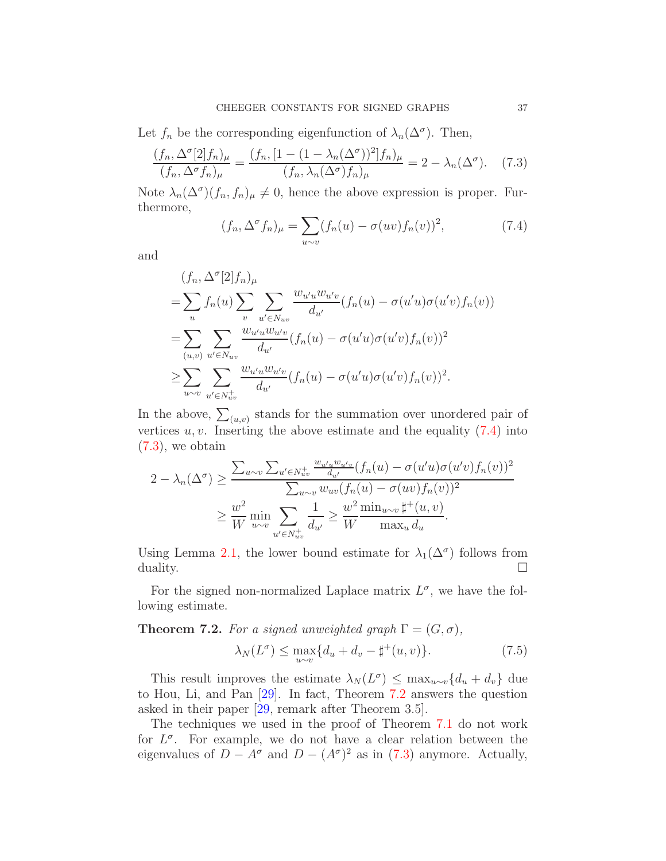Let  $f_n$  be the corresponding eigenfunction of  $\lambda_n(\Delta^{\sigma})$ . Then,

$$
\frac{(f_n, \Delta^\sigma[2]f_n)_\mu}{(f_n, \Delta^\sigma f_n)_\mu} = \frac{(f_n, [1 - (1 - \lambda_n(\Delta^\sigma))^2]f_n)_\mu}{(f_n, \lambda_n(\Delta^\sigma)f_n)_\mu} = 2 - \lambda_n(\Delta^\sigma). \tag{7.3}
$$

Note  $\lambda_n(\Delta^{\sigma})(f_n, f_n)_{\mu} \neq 0$ , hence the above expression is proper. Furthermore,

<span id="page-36-1"></span><span id="page-36-0"></span>
$$
(f_n, \Delta^{\sigma} f_n)_{\mu} = \sum_{u \sim v} (f_n(u) - \sigma(uv) f_n(v))^2, \qquad (7.4)
$$

and

$$
(f_n, \Delta^{\sigma}[2]f_n)_{\mu}
$$
  
=  $\sum_{u} f_n(u) \sum_{v} \sum_{u' \in N_{uv}} \frac{w_{u'u}w_{u'v}}{d_{u'}} (f_n(u) - \sigma(u'u)\sigma(u'v)f_n(v))$   
=  $\sum_{(u,v)} \sum_{u' \in N_{uv}} \frac{w_{u'u}w_{u'v}}{d_{u'}} (f_n(u) - \sigma(u'u)\sigma(u'v)f_n(v))^2$   
 $\ge \sum_{u \sim v} \sum_{u' \in N_{uv}^+} \frac{w_{u'u}w_{u'v}}{d_{u'}} (f_n(u) - \sigma(u'u)\sigma(u'v)f_n(v))^2.$ 

In the above,  $\sum_{(u,v)}$  stands for the summation over unordered pair of vertices  $u, v$ . Inserting the above estimate and the equality  $(7.4)$  into  $(7.3)$ , we obtain

$$
2 - \lambda_n(\Delta^{\sigma}) \ge \frac{\sum_{u \sim v} \sum_{u' \in N_{uv}^+} \frac{w_{u'u}w_{u'v}}{d_{u'}} (f_n(u) - \sigma(u'u)\sigma(u'v)f_n(v))^2}{\sum_{u \sim v} w_{uv} (f_n(u) - \sigma(uv)f_n(v))^2}
$$
  

$$
\ge \frac{w^2}{W} \min_{u \sim v} \sum_{u' \in N_{uv}^+} \frac{1}{d_{u'}} \ge \frac{w^2}{W} \frac{\min_{u \sim v} \sharp^+(u, v)}{\max_u d_u}.
$$

Using Lemma [2.1,](#page-7-3) the lower bound estimate for  $\lambda_1(\Delta^{\sigma})$  follows from duality.  $\Box$ 

For the signed non-normalized Laplace matrix  $L^{\sigma}$ , we have the following estimate.

<span id="page-36-2"></span>**Theorem 7.2.** For a signed unweighted graph  $\Gamma = (G, \sigma)$ ,

$$
\lambda_N(L^{\sigma}) \le \max_{u \sim v} \{ d_u + d_v - \sharp^+(u, v) \}. \tag{7.5}
$$

This result improves the estimate  $\lambda_N(L^{\sigma}) \leq \max_{u \sim v} \{d_u + d_v\}$  due to Hou, Li, and Pan [\[29\]](#page-41-11). In fact, Theorem [7.2](#page-36-2) answers the question asked in their paper [\[29,](#page-41-11) remark after Theorem 3.5].

The techniques we used in the proof of Theorem [7.1](#page-35-2) do not work for  $L^{\sigma}$ . For example, we do not have a clear relation between the eigenvalues of  $D - A^{\sigma}$  and  $D - (A^{\sigma})^2$  as in [\(7.3\)](#page-36-1) anymore. Actually,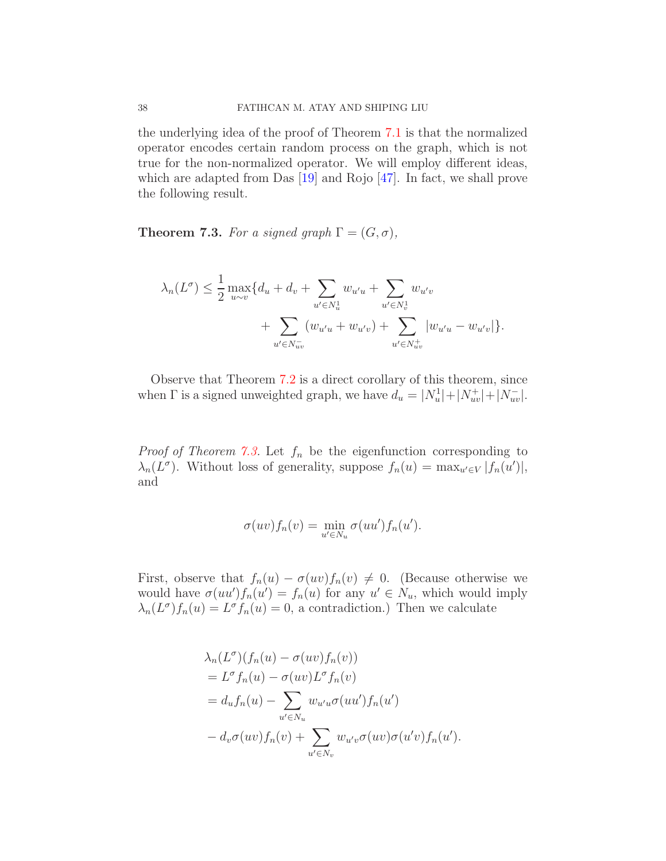the underlying idea of the proof of Theorem [7.1](#page-35-2) is that the normalized operator encodes certain random process on the graph, which is not true for the non-normalized operator. We will employ different ideas, which are adapted from Das [\[19\]](#page-40-19) and Rojo [\[47\]](#page-42-15). In fact, we shall prove the following result.

<span id="page-37-0"></span>**Theorem 7.3.** For a signed graph  $\Gamma = (G, \sigma)$ ,

$$
\lambda_n(L^{\sigma}) \leq \frac{1}{2} \max_{u \sim v} \{d_u + d_v + \sum_{u' \in N_u^1} w_{u'u} + \sum_{u' \in N_v^1} w_{u'v} + \sum_{u' \in N_{uv}^1} (w_{u'u} + w_{u'v}) + \sum_{u' \in N_{uv}^1} |w_{u'u} - w_{u'v}|\}.
$$

Observe that Theorem [7.2](#page-36-2) is a direct corollary of this theorem, since when  $\Gamma$  is a signed unweighted graph, we have  $d_u = |N_u^1| + |N_{uv}^+| + |N_{uv}^-|$ .

*Proof of Theorem [7.3.](#page-37-0)* Let  $f_n$  be the eigenfunction corresponding to  $\lambda_n(L^{\sigma})$ . Without loss of generality, suppose  $f_n(u) = \max_{u' \in V} |f_n(u')|$ , and

$$
\sigma(uv)f_n(v) = \min_{u' \in N_u} \sigma(uu')f_n(u').
$$

First, observe that  $f_n(u) - \sigma(uv) f_n(v) \neq 0$ . (Because otherwise we would have  $\sigma(uu')f_n(u') = f_n(u)$  for any  $u' \in N_u$ , which would imply  $\lambda_n(L^{\sigma})f_n(u) = L^{\sigma}f_n(u) = 0$ , a contradiction.) Then we calculate

$$
\lambda_n(L^{\sigma})(f_n(u) - \sigma(uv)f_n(v))
$$
  
=  $L^{\sigma}f_n(u) - \sigma(uv)L^{\sigma}f_n(v)$   
=  $d_uf_n(u) - \sum_{u' \in N_u} w_{u'u}\sigma(uu')f_n(u')$   
 $- d_v\sigma(uv)f_n(v) + \sum_{u' \in N_v} w_{u'v}\sigma(uv)\sigma(u'v)f_n(u').$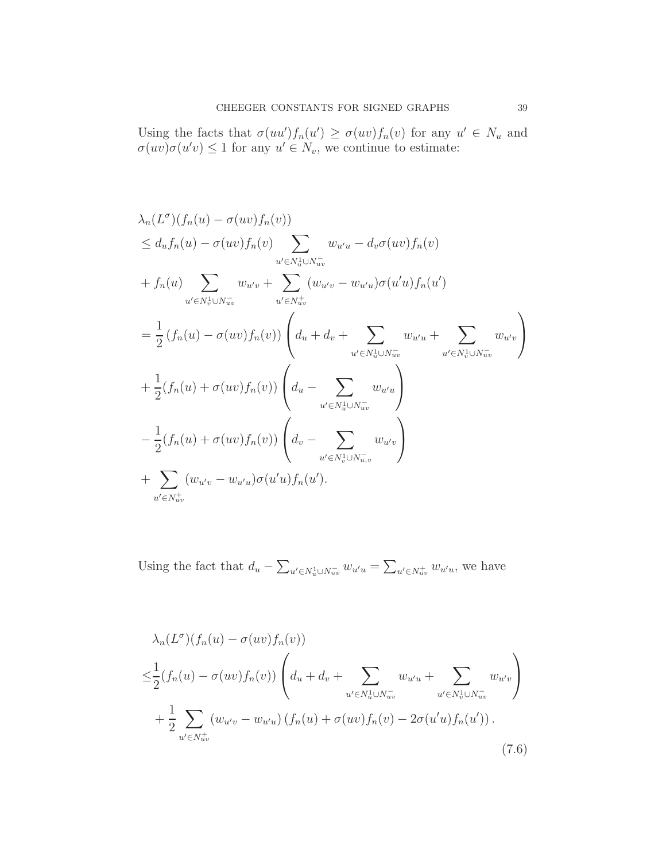Using the facts that  $\sigma(uu')f_n(u') \geq \sigma(uv)f_n(v)$  for any  $u' \in N_u$  and  $\sigma(uv)\sigma(u'v) \leq 1$  for any  $u' \in N_v$ , we continue to estimate:

$$
\lambda_n(L^{\sigma})(f_n(u) - \sigma(uv)f_n(v))
$$
\n
$$
\leq d_u f_n(u) - \sigma(uv)f_n(v) \sum_{u' \in N_u^1 \cup N_{uv}^-} w_{u'u} - d_v \sigma(uv)f_n(v)
$$
\n
$$
+ f_n(u) \sum_{u' \in N_v^1 \cup N_{uv}^-} w_{u'v} + \sum_{u' \in N_{uv}^+} (w_{u'v} - w_{u'u})\sigma(u'u)f_n(u')
$$
\n
$$
= \frac{1}{2} (f_n(u) - \sigma(uv)f_n(v)) \left( d_u + d_v + \sum_{u' \in N_u^1 \cup N_{uv}^-} w_{u'u} + \sum_{u' \in N_v^1 \cup N_{uv}^-} w_{u'v} \right)
$$
\n
$$
+ \frac{1}{2} (f_n(u) + \sigma(uv)f_n(v)) \left( d_u - \sum_{u' \in N_u^1 \cup N_{uv}^-} w_{u'u} \right)
$$
\n
$$
- \frac{1}{2} (f_n(u) + \sigma(uv)f_n(v)) \left( d_v - \sum_{u' \in N_v^1 \cup N_{u,v}^-} w_{u'v} \right)
$$
\n
$$
+ \sum_{u' \in N_{uv}^+} (w_{u'v} - w_{u'u})\sigma(u'u)f_n(u').
$$

Using the fact that  $d_u - \sum_{u' \in N_u^1 \cup N_{uv}^-} w_{u'u} = \sum_{u' \in N_{uv}^+} w_{u'u}$ , we have

<span id="page-38-0"></span>
$$
\lambda_n(L^{\sigma})(f_n(u) - \sigma(uv)f_n(v))
$$
\n
$$
\leq \frac{1}{2}(f_n(u) - \sigma(uv)f_n(v)) \left( d_u + d_v + \sum_{u' \in N_u^1 \cup N_{uv}^-} w_{u'u} + \sum_{u' \in N_v^1 \cup N_{uv}^-} w_{u'v} \right)
$$
\n
$$
+ \frac{1}{2} \sum_{u' \in N_{uv}^+} (w_{u'v} - w_{u'u})(f_n(u) + \sigma(uv)f_n(v) - 2\sigma(u'u)f_n(u')).
$$
\n(7.6)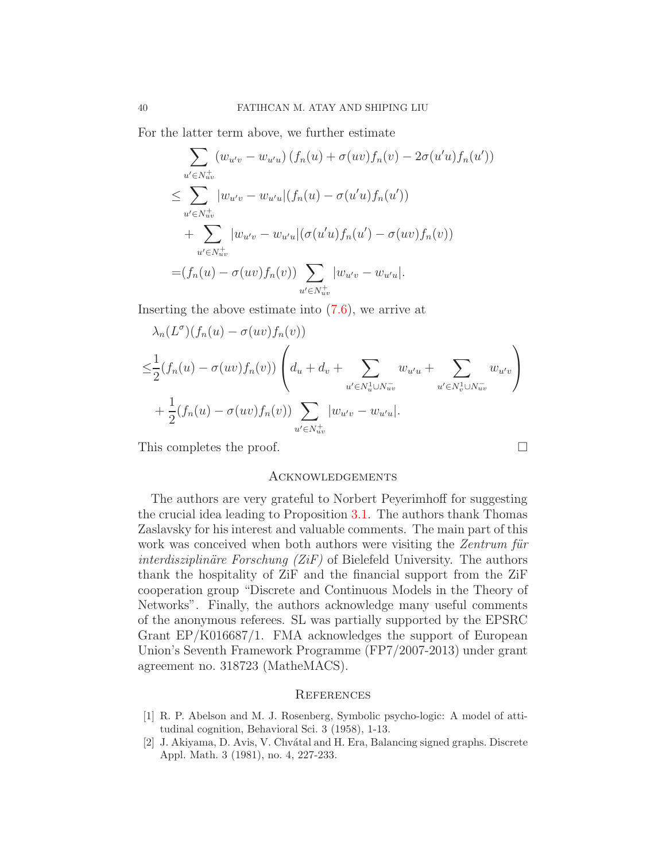For the latter term above, we further estimate

$$
\sum_{u' \in N_{uv}^+} (w_{u'v} - w_{u'u}) (f_n(u) + \sigma(uv) f_n(v) - 2\sigma(u'u) f_n(u'))
$$
\n
$$
\leq \sum_{u' \in N_{uv}^+} |w_{u'v} - w_{u'u}| (f_n(u) - \sigma(u'u) f_n(u'))
$$
\n
$$
+ \sum_{u' \in N_{uv}^+} |w_{u'v} - w_{u'u}| (\sigma(u'u) f_n(u') - \sigma(uv) f_n(v))
$$
\n
$$
= (f_n(u) - \sigma(uv) f_n(v)) \sum_{u' \in N_{uv}^+} |w_{u'v} - w_{u'u}|.
$$

Inserting the above estimate into [\(7.6\)](#page-38-0), we arrive at

$$
\lambda_n(L^{\sigma})(f_n(u) - \sigma(uv)f_n(v))
$$
\n
$$
\leq \frac{1}{2}(f_n(u) - \sigma(uv)f_n(v))\left(d_u + d_v + \sum_{u' \in N_u^1 \cup N_{uv}^-} w_{u'u} + \sum_{u' \in N_v^1 \cup N_{uv}^-} w_{u'v}\right)
$$
\n
$$
+ \frac{1}{2}(f_n(u) - \sigma(uv)f_n(v)) \sum_{u' \in N_{uv}^+} |w_{u'v} - w_{u'u}|.
$$

This completes the proof.

#### <span id="page-39-0"></span>**ACKNOWLEDGEMENTS**

The authors are very grateful to Norbert Peyerimhoff for suggesting the crucial idea leading to Proposition [3.1.](#page-9-3) The authors thank Thomas Zaslavsky for his interest and valuable comments. The main part of this work was conceived when both authors were visiting the Zentrum für *interdisziplinäre Forschung (ZiF)* of Bielefeld University. The authors thank the hospitality of ZiF and the financial support from the ZiF cooperation group "Discrete and Continuous Models in the Theory of Networks". Finally, the authors acknowledge many useful comments of the anonymous referees. SL was partially supported by the EPSRC Grant EP/K016687/1. FMA acknowledges the support of European Union's Seventh Framework Programme (FP7/2007-2013) under grant agreement no. 318723 (MatheMACS).

## <span id="page-39-1"></span>**REFERENCES**

- <span id="page-39-2"></span>[1] R. P. Abelson and M. J. Rosenberg, Symbolic psycho-logic: A model of attitudinal cognition, Behavioral Sci. 3 (1958), 1-13.
- <span id="page-39-3"></span>[2] J. Akiyama, D. Avis, V. Chv´atal and H. Era, Balancing signed graphs. Discrete Appl. Math. 3 (1981), no. 4, 227-233.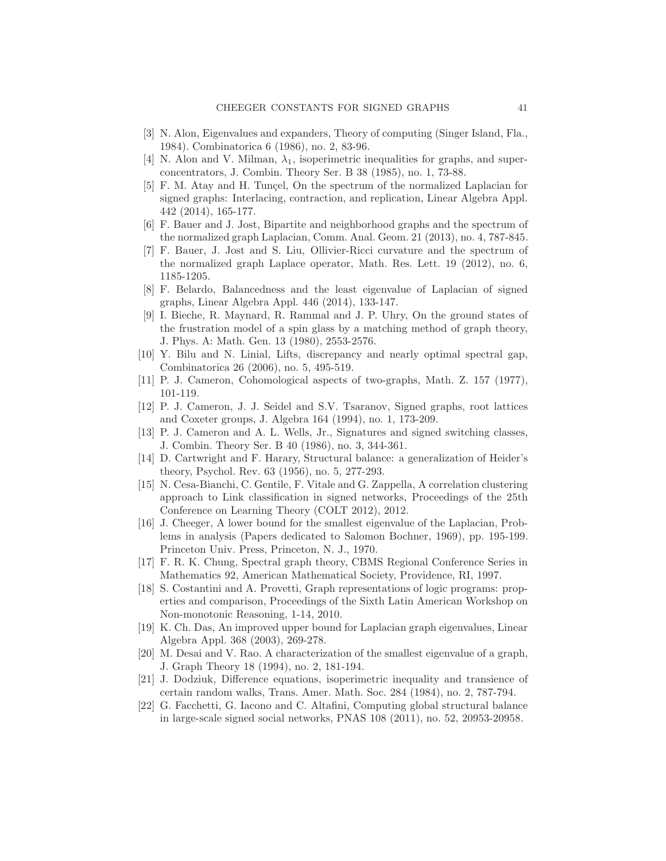- <span id="page-40-3"></span><span id="page-40-2"></span>[3] N. Alon, Eigenvalues and expanders, Theory of computing (Singer Island, Fla., 1984). Combinatorica 6 (1986), no. 2, 83-96.
- <span id="page-40-15"></span>[4] N. Alon and V. Milman,  $\lambda_1$ , isoperimetric inequalities for graphs, and superconcentrators, J. Combin. Theory Ser. B 38 (1985), no. 1, 73-88.
- [5] F. M. Atay and H. Tungel, On the spectrum of the normalized Laplacian for signed graphs: Interlacing, contraction, and replication, Linear Algebra Appl. 442 (2014), 165-177.
- <span id="page-40-6"></span>[6] F. Bauer and J. Jost, Bipartite and neighborhood graphs and the spectrum of the normalized graph Laplacian, Comm. Anal. Geom. 21 (2013), no. 4, 787-845.
- <span id="page-40-18"></span>[7] F. Bauer, J. Jost and S. Liu, Ollivier-Ricci curvature and the spectrum of the normalized graph Laplace operator, Math. Res. Lett. 19 (2012), no. 6, 1185-1205.
- <span id="page-40-14"></span>[8] F. Belardo, Balancedness and the least eigenvalue of Laplacian of signed graphs, Linear Algebra Appl. 446 (2014), 133-147.
- <span id="page-40-12"></span>[9] I. Bieche, R. Maynard, R. Rammal and J. P. Uhry, On the ground states of the frustration model of a spin glass by a matching method of graph theory, J. Phys. A: Math. Gen. 13 (1980), 2553-2576.
- <span id="page-40-13"></span>[10] Y. Bilu and N. Linial, Lifts, discrepancy and nearly optimal spectral gap, Combinatorica 26 (2006), no. 5, 495-519.
- <span id="page-40-10"></span><span id="page-40-9"></span>[11] P. J. Cameron, Cohomological aspects of two-graphs, Math. Z. 157 (1977), 101-119.
- [12] P. J. Cameron, J. J. Seidel and S.V. Tsaranov, Signed graphs, root lattices and Coxeter groups, J. Algebra 164 (1994), no. 1, 173-209.
- <span id="page-40-11"></span>[13] P. J. Cameron and A. L. Wells, Jr., Signatures and signed switching classes, J. Combin. Theory Ser. B 40 (1986), no. 3, 344-361.
- <span id="page-40-7"></span>[14] D. Cartwright and F. Harary, Structural balance: a generalization of Heider's theory, Psychol. Rev. 63 (1956), no. 5, 277-293.
- <span id="page-40-17"></span>[15] N. Cesa-Bianchi, C. Gentile, F. Vitale and G. Zappella, A correlation clustering approach to Link classification in signed networks, Proceedings of the 25th Conference on Learning Theory (COLT 2012), 2012.
- <span id="page-40-0"></span>[16] J. Cheeger, A lower bound for the smallest eigenvalue of the Laplacian, Problems in analysis (Papers dedicated to Salomon Bochner, 1969), pp. 195-199. Princeton Univ. Press, Princeton, N. J., 1970.
- <span id="page-40-4"></span>[17] F. R. K. Chung, Spectral graph theory, CBMS Regional Conference Series in Mathematics 92, American Mathematical Society, Providence, RI, 1997.
- <span id="page-40-8"></span>[18] S. Costantini and A. Provetti, Graph representations of logic programs: properties and comparison, Proceedings of the Sixth Latin American Workshop on Non-monotonic Reasoning, 1-14, 2010.
- <span id="page-40-19"></span>[19] K. Ch. Das, An improved upper bound for Laplacian graph eigenvalues, Linear Algebra Appl. 368 (2003), 269-278.
- <span id="page-40-5"></span>[20] M. Desai and V. Rao. A characterization of the smallest eigenvalue of a graph, J. Graph Theory 18 (1994), no. 2, 181-194.
- <span id="page-40-1"></span>[21] J. Dodziuk, Difference equations, isoperimetric inequality and transience of certain random walks, Trans. Amer. Math. Soc. 284 (1984), no. 2, 787-794.
- <span id="page-40-16"></span>[22] G. Facchetti, G. Iacono and C. Altafini, Computing global structural balance in large-scale signed social networks, PNAS 108 (2011), no. 52, 20953-20958.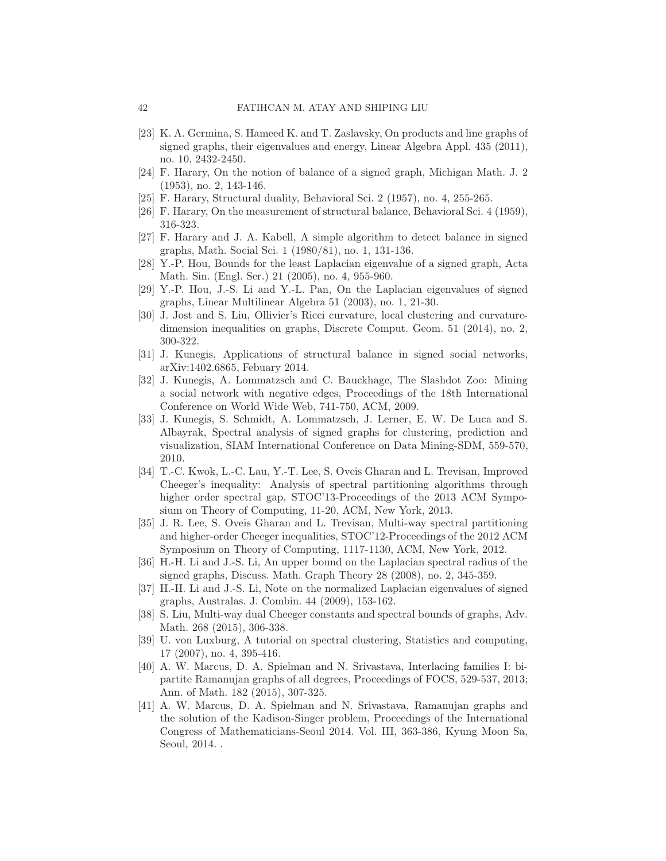- <span id="page-41-14"></span>[23] K. A. Germina, S. Hameed K. and T. Zaslavsky, On products and line graphs of signed graphs, their eigenvalues and energy, Linear Algebra Appl. 435 (2011), no. 10, 2432-2450.
- <span id="page-41-3"></span>[24] F. Harary, On the notion of balance of a signed graph, Michigan Math. J. 2 (1953), no. 2, 143-146.
- <span id="page-41-15"></span><span id="page-41-4"></span>[25] F. Harary, Structural duality, Behavioral Sci. 2 (1957), no. 4, 255-265.
- <span id="page-41-16"></span>[26] F. Harary, On the measurement of structural balance, Behavioral Sci. 4 (1959), 316-323.
- [27] F. Harary and J. A. Kabell, A simple algorithm to detect balance in signed graphs, Math. Social Sci. 1 (1980/81), no. 1, 131-136.
- <span id="page-41-8"></span>[28] Y.-P. Hou, Bounds for the least Laplacian eigenvalue of a signed graph, Acta Math. Sin. (Engl. Ser.) 21 (2005), no. 4, 955-960.
- <span id="page-41-11"></span>[29] Y.-P. Hou, J.-S. Li and Y.-L. Pan, On the Laplacian eigenvalues of signed graphs, Linear Multilinear Algebra 51 (2003), no. 1, 21-30.
- <span id="page-41-18"></span>[30] J. Jost and S. Liu, Ollivier's Ricci curvature, local clustering and curvaturedimension inequalities on graphs, Discrete Comput. Geom. 51 (2014), no. 2, 300-322.
- <span id="page-41-17"></span><span id="page-41-5"></span>[31] J. Kunegis, Applications of structural balance in signed social networks, arXiv:1402.6865, Febuary 2014.
- [32] J. Kunegis, A. Lommatzsch and C. Bauckhage, The Slashdot Zoo: Mining a social network with negative edges, Proceedings of the 18th International Conference on World Wide Web, 741-750, ACM, 2009.
- <span id="page-41-12"></span>[33] J. Kunegis, S. Schmidt, A. Lommatzsch, J. Lerner, E. W. De Luca and S. Albayrak, Spectral analysis of signed graphs for clustering, prediction and visualization, SIAM International Conference on Data Mining-SDM, 559-570, 2010.
- <span id="page-41-2"></span>[34] T.-C. Kwok, L.-C. Lau, Y.-T. Lee, S. Oveis Gharan and L. Trevisan, Improved Cheeger's inequality: Analysis of spectral partitioning algorithms through higher order spectral gap, STOC'13-Proceedings of the 2013 ACM Symposium on Theory of Computing, 11-20, ACM, New York, 2013.
- <span id="page-41-0"></span>[35] J. R. Lee, S. Oveis Gharan and L. Trevisan, Multi-way spectral partitioning and higher-order Cheeger inequalities, STOC'12-Proceedings of the 2012 ACM Symposium on Theory of Computing, 1117-1130, ACM, New York, 2012.
- <span id="page-41-13"></span>[36] H.-H. Li and J.-S. Li, An upper bound on the Laplacian spectral radius of the signed graphs, Discuss. Math. Graph Theory 28 (2008), no. 2, 345-359.
- <span id="page-41-10"></span>[37] H.-H. Li and J.-S. Li, Note on the normalized Laplacian eigenvalues of signed graphs, Australas. J. Combin. 44 (2009), 153-162.
- <span id="page-41-1"></span>[38] S. Liu, Multi-way dual Cheeger constants and spectral bounds of graphs, Adv. Math. 268 (2015), 306-338.
- <span id="page-41-9"></span>[39] U. von Luxburg, A tutorial on spectral clustering, Statistics and computing, 17 (2007), no. 4, 395-416.
- <span id="page-41-6"></span>[40] A. W. Marcus, D. A. Spielman and N. Srivastava, Interlacing families I: bipartite Ramanujan graphs of all degrees, Proceedings of FOCS, 529-537, 2013; Ann. of Math. 182 (2015), 307-325.
- <span id="page-41-7"></span>[41] A. W. Marcus, D. A. Spielman and N. Srivastava, Ramanujan graphs and the solution of the Kadison-Singer problem, Proceedings of the International Congress of Mathematicians-Seoul 2014. Vol. III, 363-386, Kyung Moon Sa, Seoul, 2014. .